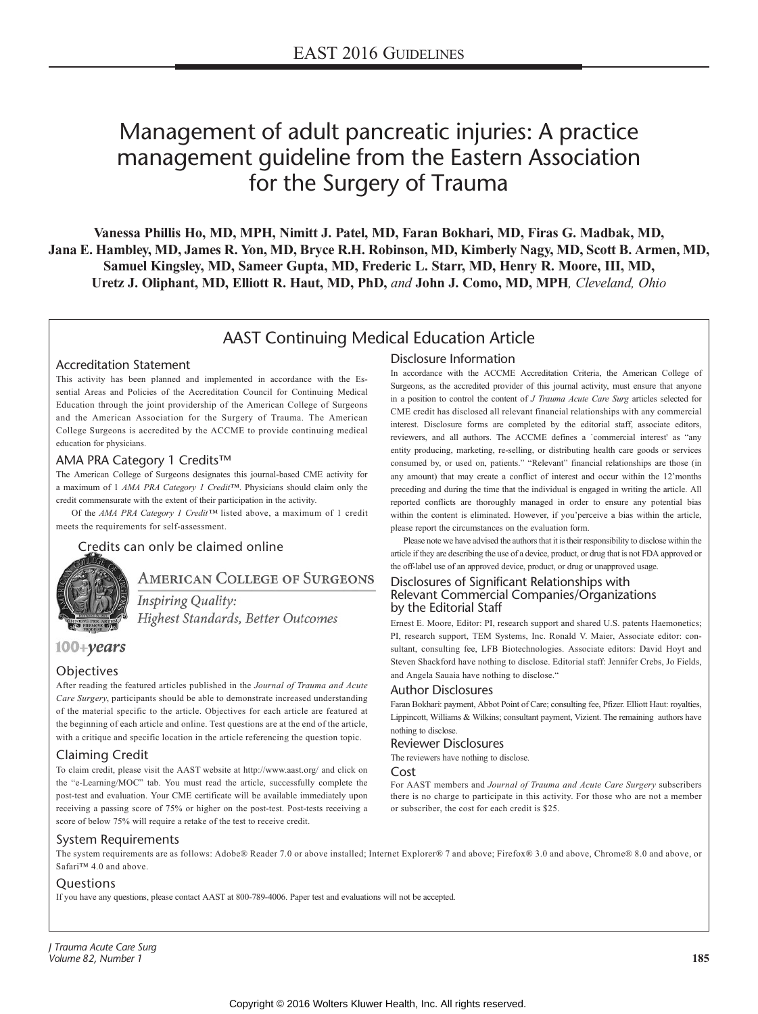# Management of adult pancreatic injuries: A practice management guideline from the Eastern Association for the Surgery of Trauma

Vanessa Phillis Ho, MD, MPH, Nimitt J. Patel, MD, Faran Bokhari, MD, Firas G. Madbak, MD, Jana E. Hambley, MD, James R. Yon, MD, Bryce R.H. Robinson, MD, Kimberly Nagy, MD, Scott B. Armen, MD, Samuel Kingsley, MD, Sameer Gupta, MD, Frederic L. Starr, MD, Henry R. Moore, III, MD, Uretz J. Oliphant, MD, Elliott R. Haut, MD, PhD, and John J. Como, MD, MPH, Cleveland, Ohio

## AAST Continuing Medical Education Article

## Accreditation Statement

This activity has been planned and implemented in accordance with the Essential Areas and Policies of the Accreditation Council for Continuing Medical Education through the joint providership of the American College of Surgeons and the American Association for the Surgery of Trauma. The American College Surgeons is accredited by the ACCME to provide continuing medical education for physicians.

## AMA PRA Category 1 Credits™

The American College of Surgeons designates this journal-based CME activity for a maximum of 1 AMA PRA Category 1 Credit™. Physicians should claim only the credit commensurate with the extent of their participation in the activity.

Of the AMA PRA Category 1 Credit™ listed above, a maximum of 1 credit meets the requirements for self-assessment.

## Credits can only be claimed online

## **AMERICAN COLLEGE OF SURGEONS**

**Inspiring Quality:** Highest Standards, Better Outcomes

## $100 + years$

## **Objectives**

After reading the featured articles published in the Journal of Trauma and Acute Care Surgery, participants should be able to demonstrate increased understanding of the material specific to the article. Objectives for each article are featured at the beginning of each article and online. Test questions are at the end of the article, with a critique and specific location in the article referencing the question topic.

## Claiming Credit

To claim credit, please visit the AAST website at http://www.aast.org/ and click on the "e-Learning/MOC" tab. You must read the article, successfully complete the post-test and evaluation. Your CME certificate will be available immediately upon receiving a passing score of 75% or higher on the post-test. Post-tests receiving a score of below 75% will require a retake of the test to receive credit.

#### System Requirements

## Disclosure Information

In accordance with the ACCME Accreditation Criteria, the American College of Surgeons, as the accredited provider of this journal activity, must ensure that anyone in a position to control the content of J Trauma Acute Care Surg articles selected for CME credit has disclosed all relevant financial relationships with any commercial interest. Disclosure forms are completed by the editorial staff, associate editors, reviewers, and all authors. The ACCME defines a `commercial interest' as "any entity producing, marketing, re-selling, or distributing health care goods or services consumed by, or used on, patients." "Relevant" financial relationships are those (in any amount) that may create a conflict of interest and occur within the 12'months preceding and during the time that the individual is engaged in writing the article. All reported conflicts are thoroughly managed in order to ensure any potential bias within the content is eliminated. However, if you'perceive a bias within the article, please report the circumstances on the evaluation form.

Please note we have advised the authors that it is their responsibility to disclose within the article if they are describing the use of a device, product, or drug that is not FDA approved or the off-label use of an approved device, product, or drug or unapproved usage.

## Disclosures of Significant Relationships with Relevant Commercial Companies/Organizations by the Editorial Staff

Ernest E. Moore, Editor: PI, research support and shared U.S. patents Haemonetics; PI, research support, TEM Systems, Inc. Ronald V. Maier, Associate editor: consultant, consulting fee, LFB Biotechnologies. Associate editors: David Hoyt and Steven Shackford have nothing to disclose. Editorial staff: Jennifer Crebs, Jo Fields, and Angela Sauaia have nothing to disclose."

### Author Disclosures

Faran Bokhari: payment, Abbot Point of Care; consulting fee, Pfizer. Elliott Haut: royalties, Lippincott, Williams & Wilkins; consultant payment, Vizient. The remaining authors have nothing to disclose.

#### Reviewer Disclosures

The reviewers have nothing to disclose.

#### Cost

For AAST members and Journal of Trauma and Acute Care Surgery subscribers there is no charge to participate in this activity. For those who are not a member or subscriber, the cost for each credit is \$25.

The system requirements are as follows: Adobe® Reader 7.0 or above installed; Internet Explorer® 7 and above; Firefox® 3.0 and above, Chrome® 8.0 and above, or Safari™ 4.0 and above.

#### **Questions**

If you have any questions, please contact AAST at 800-789-4006. Paper test and evaluations will not be accepted.

J Trauma Acute Care Surg Volume 82, Number 1 185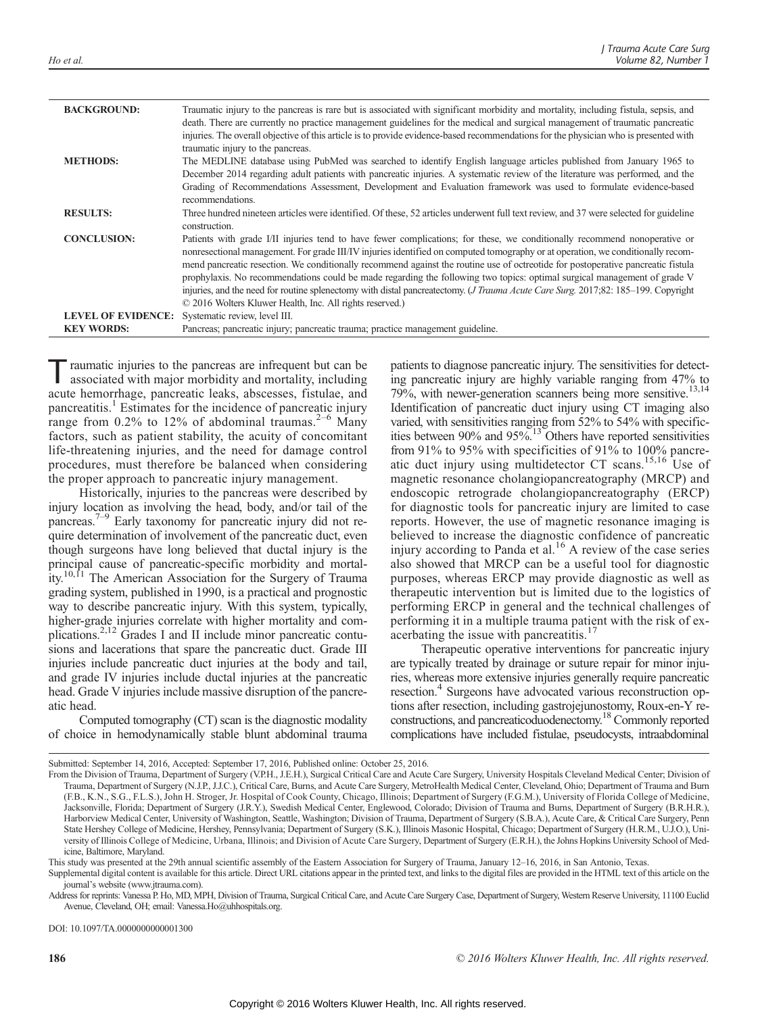| <b>BACKGROUND:</b>        | Traumatic injury to the pancreas is rare but is associated with significant morbidity and mortality, including fistula, sepsis, and       |
|---------------------------|-------------------------------------------------------------------------------------------------------------------------------------------|
|                           | death. There are currently no practice management guidelines for the medical and surgical management of traumatic pancreatic              |
|                           | injuries. The overall objective of this article is to provide evidence-based recommendations for the physician who is presented with      |
|                           | traumatic injury to the pancreas.                                                                                                         |
| <b>METHODS:</b>           | The MEDLINE database using PubMed was searched to identify English language articles published from January 1965 to                       |
|                           | December 2014 regarding adult patients with pancreatic injuries. A systematic review of the literature was performed, and the             |
|                           | Grading of Recommendations Assessment, Development and Evaluation framework was used to formulate evidence-based                          |
|                           | recommendations.                                                                                                                          |
| <b>RESULTS:</b>           | Three hundred nineteen articles were identified. Of these, 52 articles underwent full text review, and 37 were selected for guideline     |
|                           | construction.                                                                                                                             |
| <b>CONCLUSION:</b>        | Patients with grade I/II injuries tend to have fewer complications; for these, we conditionally recommend nonoperative or                 |
|                           | nonresectional management. For grade III/IV injuries identified on computed tomography or at operation, we conditionally recom-           |
|                           | mend pancreatic resection. We conditionally recommend against the routine use of octreotide for postoperative pancreatic fistula          |
|                           | prophylaxis. No recommendations could be made regarding the following two topics: optimal surgical management of grade V                  |
|                           | injuries, and the need for routine splenectomy with distal pancreatectomy. ( <i>J Trauma Acute Care Surg.</i> 2017;82: 185–199. Copyright |
|                           | © 2016 Wolters Kluwer Health, Inc. All rights reserved.)                                                                                  |
| <b>LEVEL OF EVIDENCE:</b> | Systematic review, level III.                                                                                                             |
| <b>KEY WORDS:</b>         | Pancreas; pancreatic injury; pancreatic trauma; practice management guideline.                                                            |

Traumatic injuries to the pancreas are infrequent but can be associated with major morbidity and mortality, including acute hemorrhage, pancreatic leaks, abscesses, fistulae, and pancreatitis.<sup>1</sup> Estimates for the incidence of pancreatic injury range from  $0.2\%$  to 12% of abdominal traumas.<sup>2–6</sup> Many factors, such as patient stability, the acuity of concomitant life-threatening injuries, and the need for damage control procedures, must therefore be balanced when considering the proper approach to pancreatic injury management.

Historically, injuries to the pancreas were described by injury location as involving the head, body, and/or tail of the pancreas.7–<sup>9</sup> Early taxonomy for pancreatic injury did not require determination of involvement of the pancreatic duct, even though surgeons have long believed that ductal injury is the principal cause of pancreatic-specific morbidity and mortality.10,11 The American Association for the Surgery of Trauma grading system, published in 1990, is a practical and prognostic way to describe pancreatic injury. With this system, typically, higher-grade injuries correlate with higher mortality and complications.2,12 Grades I and II include minor pancreatic contusions and lacerations that spare the pancreatic duct. Grade III injuries include pancreatic duct injuries at the body and tail, and grade IV injuries include ductal injuries at the pancreatic head. Grade V injuries include massive disruption of the pancreatic head.

Computed tomography (CT) scan is the diagnostic modality of choice in hemodynamically stable blunt abdominal trauma

patients to diagnose pancreatic injury. The sensitivities for detecting pancreatic injury are highly variable ranging from 47% to 79%, with newer-generation scanners being more sensitive.13,14 Identification of pancreatic duct injury using CT imaging also varied, with sensitivities ranging from 52% to 54% with specificities between 90% and 95%.13 Others have reported sensitivities from 91% to 95% with specificities of 91% to 100% pancreatic duct injury using multidetector CT scans.<sup>15,16</sup> Use of magnetic resonance cholangiopancreatography (MRCP) and endoscopic retrograde cholangiopancreatography (ERCP) for diagnostic tools for pancreatic injury are limited to case reports. However, the use of magnetic resonance imaging is believed to increase the diagnostic confidence of pancreatic injury according to Panda et al.<sup>16</sup> A review of the case series also showed that MRCP can be a useful tool for diagnostic purposes, whereas ERCP may provide diagnostic as well as therapeutic intervention but is limited due to the logistics of performing ERCP in general and the technical challenges of performing it in a multiple trauma patient with the risk of exacerbating the issue with pancreatitis.<sup>17</sup>

Therapeutic operative interventions for pancreatic injury are typically treated by drainage or suture repair for minor injuries, whereas more extensive injuries generally require pancreatic resection.<sup>4</sup> Surgeons have advocated various reconstruction options after resection, including gastrojejunostomy, Roux-en-Y reconstructions, and pancreaticoduodenectomy.18 Commonly reported complications have included fistulae, pseudocysts, intraabdominal

This study was presented at the 29th annual scientific assembly of the Eastern Association for Surgery of Trauma, January 12–16, 2016, in San Antonio, Texas.

Supplemental digital content is available for this article. Direct URL citations appear in the printed text, and links to the digital files are provided in the HTML text of this article on the journal's website [\(www.jtrauma.com\)](http://www.jtrauma.com).

Address for reprints: Vanessa P. Ho, MD, MPH, Division of Trauma, Surgical Critical Care, and Acute Care Surgery Case, Department of Surgery, Western Reserve University, 11100 Euclid Avenue, Cleveland, OH; email: Vanessa.Ho@uhhospitals.org.

DOI: 10.1097/TA.0000000000001300

Submitted: September 14, 2016, Accepted: September 17, 2016, Published online: October 25, 2016.

From the Division of Trauma, Department of Surgery (V.P.H., J.E.H.), Surgical Critical Care and Acute Care Surgery, University Hospitals Cleveland Medical Center; Division of Trauma, Department of Surgery (N.J.P., J.J.C.), Critical Care, Burns, and Acute Care Surgery, MetroHealth Medical Center, Cleveland, Ohio; Department of Trauma and Burn (F.B., K.N., S.G., F.L.S.), John H. Stroger, Jr. Hospital of Cook County, Chicago, Illinois; Department of Surgery (F.G.M.), University of Florida College of Medicine, Jacksonville, Florida; Department of Surgery (J.R.Y.), Swedish Medical Center, Englewood, Colorado; Division of Trauma and Burns, Department of Surgery (B.R.H.R.), Harborview Medical Center, University of Washington, Seattle, Washington; Division of Trauma, Department of Surgery (S.B.A.), Acute Care, & Critical Care Surgery, Penn State Hershey College of Medicine, Hershey, Pennsylvania; Department of Surgery (S.K.), Illinois Masonic Hospital, Chicago; Department of Surgery (H.R.M., U.J.O.), University of Illinois College of Medicine, Urbana, Illinois; and Division of Acute Care Surgery, Department of Surgery (E.R.H.), the Johns Hopkins University School of Medicine, Baltimore, Maryland.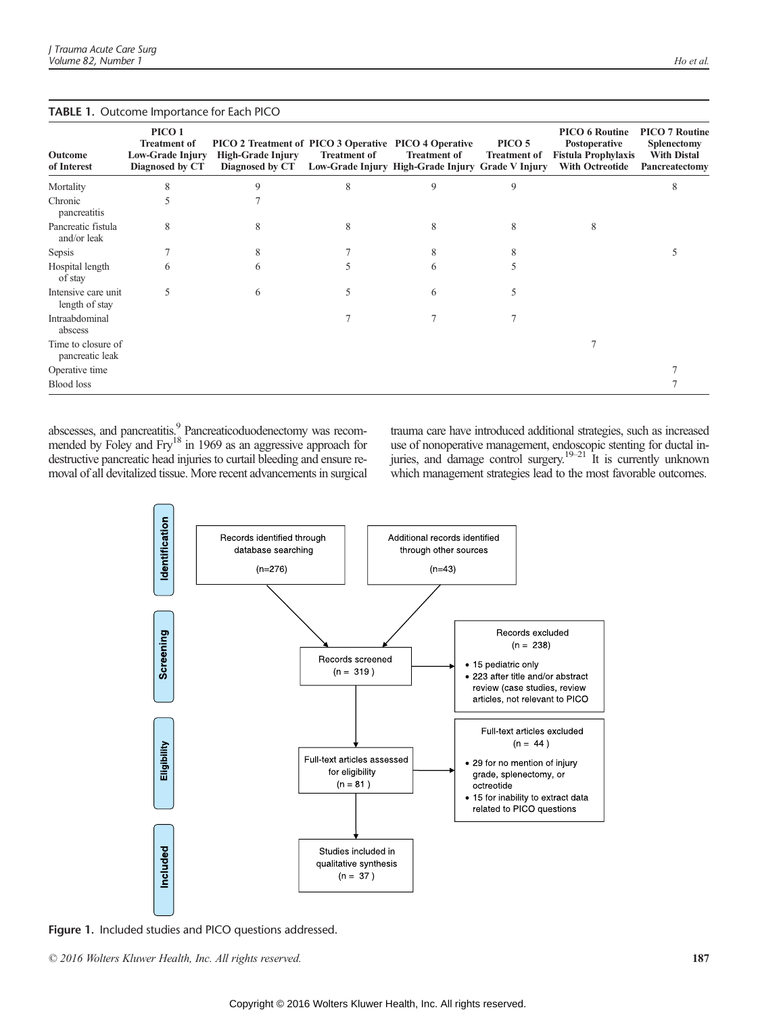| Outcome<br>of Interest                | PICO <sub>1</sub><br><b>Treatment of</b><br><b>Low-Grade Injury</b><br>Diagnosed by CT | PICO 2 Treatment of PICO 3 Operative PICO 4 Operative<br><b>High-Grade Injury</b><br>Diagnosed by CT | <b>Treatment of</b> | <b>Treatment of</b><br>Low-Grade Injury High-Grade Injury Grade V Injury | PICO <sub>5</sub><br><b>Treatment of</b> | <b>PICO 6 Routine</b><br><b>Postoperative</b><br><b>Fistula Prophylaxis</b><br><b>With Octreotide</b> | <b>PICO 7 Routine</b><br><b>Splenectomy</b><br><b>With Distal</b><br>Pancreatectomy |
|---------------------------------------|----------------------------------------------------------------------------------------|------------------------------------------------------------------------------------------------------|---------------------|--------------------------------------------------------------------------|------------------------------------------|-------------------------------------------------------------------------------------------------------|-------------------------------------------------------------------------------------|
| Mortality                             | 8                                                                                      | 9                                                                                                    | 8                   | 9                                                                        | 9                                        |                                                                                                       |                                                                                     |
| Chronic<br>pancreatitis               |                                                                                        |                                                                                                      |                     |                                                                          |                                          |                                                                                                       |                                                                                     |
| Pancreatic fistula<br>and/or leak     | 8                                                                                      | 8                                                                                                    | 8                   | 8                                                                        | 8                                        | 8                                                                                                     |                                                                                     |
| Sepsis                                |                                                                                        |                                                                                                      |                     | 8                                                                        | 8                                        |                                                                                                       |                                                                                     |
| Hospital length<br>of stay            | 6                                                                                      |                                                                                                      |                     | 6                                                                        |                                          |                                                                                                       |                                                                                     |
| Intensive care unit<br>length of stay | 5                                                                                      | 6                                                                                                    | 5                   | 6                                                                        | 5                                        |                                                                                                       |                                                                                     |
| Intraabdominal<br>abscess             |                                                                                        |                                                                                                      |                     |                                                                          |                                          |                                                                                                       |                                                                                     |
| Time to closure of<br>pancreatic leak |                                                                                        |                                                                                                      |                     |                                                                          |                                          |                                                                                                       |                                                                                     |
| Operative time                        |                                                                                        |                                                                                                      |                     |                                                                          |                                          |                                                                                                       |                                                                                     |
| <b>Blood</b> loss                     |                                                                                        |                                                                                                      |                     |                                                                          |                                          |                                                                                                       |                                                                                     |

#### TABLE 1. Outcome Importance for Each PICO

abscesses, and pancreatitis.<sup>9</sup> Pancreaticoduodenectomy was recommended by Foley and Fry<sup>18</sup> in 1969 as an aggressive approach for destructive pancreatic head injuries to curtail bleeding and ensure removal of all devitalized tissue. More recent advancements in surgical

trauma care have introduced additional strategies, such as increased use of nonoperative management, endoscopic stenting for ductal injuries, and damage control surgery.<sup>19–21</sup> It is currently unknown which management strategies lead to the most favorable outcomes.



Figure 1. Included studies and PICO questions addressed.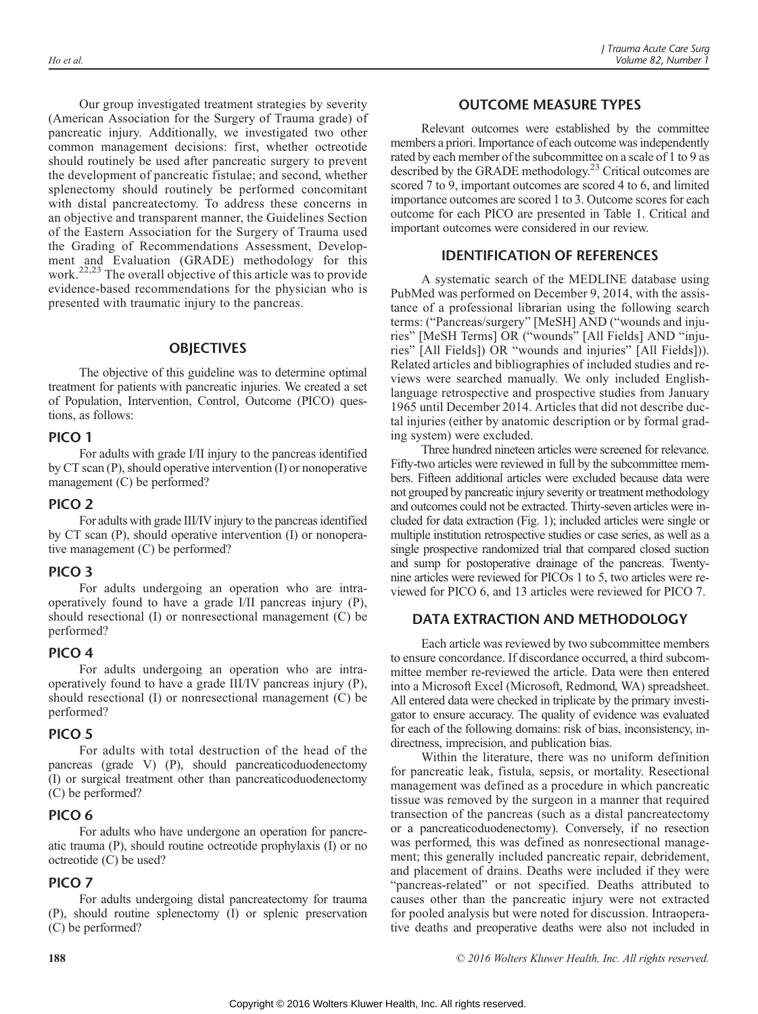Our group investigated treatment strategies by severity (American Association for the Surgery of Trauma grade) of pancreatic injury. Additionally, we investigated two other common management decisions: first, whether octreotide should routinely be used after pancreatic surgery to prevent the development of pancreatic fistulae; and second, whether splenectomy should routinely be performed concomitant with distal pancreatectomy. To address these concerns in an objective and transparent manner, the Guidelines Section of the Eastern Association for the Surgery of Trauma used the Grading of Recommendations Assessment, Development and Evaluation (GRADE) methodology for this work.22,23 The overall objective of this article was to provide evidence-based recommendations for the physician who is presented with traumatic injury to the pancreas.

#### **OBJECTIVES**

The objective of this guideline was to determine optimal treatment for patients with pancreatic injuries. We created a set of Population, Intervention, Control, Outcome (PICO) questions, as follows:

#### PICO 1

For adults with grade I/II injury to the pancreas identified by CT scan (P), should operative intervention (I) or nonoperative management (C) be performed?

#### PICO 2

For adults with grade III/IV injury to the pancreas identified by CT scan (P), should operative intervention (I) or nonoperative management (C) be performed?

#### PICO 3

For adults undergoing an operation who are intraoperatively found to have a grade I/II pancreas injury (P), should resectional (I) or nonresectional management (C) be performed?

#### PICO 4

For adults undergoing an operation who are intraoperatively found to have a grade III/IV pancreas injury (P), should resectional (I) or nonresectional management (C) be performed?

#### PICO 5

For adults with total destruction of the head of the pancreas (grade V) (P), should pancreaticoduodenectomy (I) or surgical treatment other than pancreaticoduodenectomy (C) be performed?

### PICO 6

For adults who have undergone an operation for pancreatic trauma (P), should routine octreotide prophylaxis (I) or no octreotide (C) be used?

#### PICO 7

For adults undergoing distal pancreatectomy for trauma (P), should routine splenectomy (I) or splenic preservation (C) be performed?

## OUTCOME MEASURE TYPES

Relevant outcomes were established by the committee members a priori. Importance of each outcome was independently rated by each member of the subcommittee on a scale of 1 to 9 as described by the GRADE methodology.<sup>23</sup> Critical outcomes are scored 7 to 9, important outcomes are scored 4 to 6, and limited importance outcomes are scored 1 to 3. Outcome scores for each outcome for each PICO are presented in Table 1. Critical and important outcomes were considered in our review.

## IDENTIFICATION OF REFERENCES

A systematic search of the MEDLINE database using PubMed was performed on December 9, 2014, with the assistance of a professional librarian using the following search terms: ("Pancreas/surgery" [MeSH] AND ("wounds and injuries" [MeSH Terms] OR ("wounds" [All Fields] AND "injuries" [All Fields]) OR "wounds and injuries" [All Fields])). Related articles and bibliographies of included studies and reviews were searched manually. We only included Englishlanguage retrospective and prospective studies from January 1965 until December 2014. Articles that did not describe ductal injuries (either by anatomic description or by formal grading system) were excluded.

Three hundred nineteen articles were screened for relevance. Fifty-two articles were reviewed in full by the subcommittee members. Fifteen additional articles were excluded because data were not grouped by pancreatic injury severity or treatment methodology and outcomes could not be extracted. Thirty-seven articles were included for data extraction (Fig. 1); included articles were single or multiple institution retrospective studies or case series, as well as a single prospective randomized trial that compared closed suction and sump for postoperative drainage of the pancreas. Twentynine articles were reviewed for PICOs 1 to 5, two articles were reviewed for PICO 6, and 13 articles were reviewed for PICO 7.

## DATA EXTRACTION AND METHODOLOGY

Each article was reviewed by two subcommittee members to ensure concordance. If discordance occurred, a third subcommittee member re-reviewed the article. Data were then entered into a Microsoft Excel (Microsoft, Redmond, WA) spreadsheet. All entered data were checked in triplicate by the primary investigator to ensure accuracy. The quality of evidence was evaluated for each of the following domains: risk of bias, inconsistency, indirectness, imprecision, and publication bias.

Within the literature, there was no uniform definition for pancreatic leak, fistula, sepsis, or mortality. Resectional management was defined as a procedure in which pancreatic tissue was removed by the surgeon in a manner that required transection of the pancreas (such as a distal pancreatectomy or a pancreaticoduodenectomy). Conversely, if no resection was performed, this was defined as nonresectional management; this generally included pancreatic repair, debridement, and placement of drains. Deaths were included if they were "pancreas-related" or not specified. Deaths attributed to causes other than the pancreatic injury were not extracted for pooled analysis but were noted for discussion. Intraoperative deaths and preoperative deaths were also not included in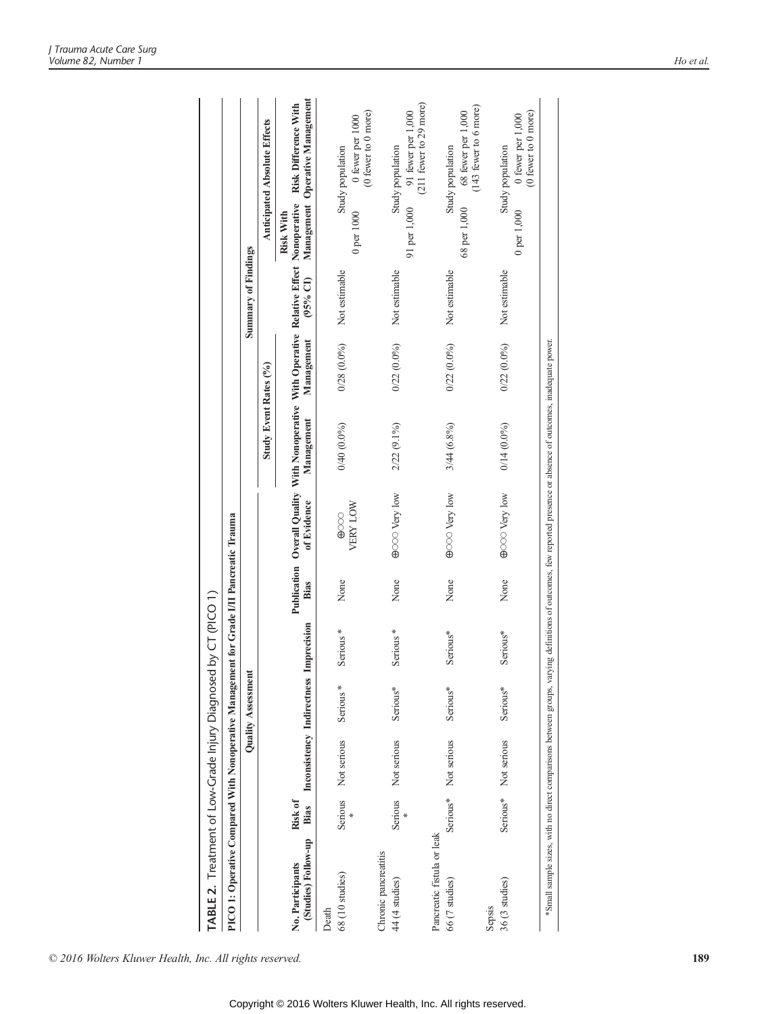| TABLE 2. Treatment of Low-Grade Injury Diagnosed by CT (PICO 1)                          |                 |                            |                           |                      |      |                         |                                                                                                                                                                  |                  |                            |                                                                                          |
|------------------------------------------------------------------------------------------|-----------------|----------------------------|---------------------------|----------------------|------|-------------------------|------------------------------------------------------------------------------------------------------------------------------------------------------------------|------------------|----------------------------|------------------------------------------------------------------------------------------|
| PICO 1: Operative Compared With Nonoperative Management for Grade I/II Pancreatic Trauma |                 |                            |                           |                      |      |                         |                                                                                                                                                                  |                  |                            |                                                                                          |
|                                                                                          |                 |                            | <b>Quality Assessment</b> |                      |      |                         |                                                                                                                                                                  |                  | <b>Summary of Findings</b> |                                                                                          |
|                                                                                          |                 |                            |                           |                      |      |                         | <b>Study Event Rates (%)</b>                                                                                                                                     |                  |                            | <b>Anticipated Absolute Effects</b>                                                      |
| (Studies) Follow-up<br>No. Participants                                                  | Risk of<br>Bias | Inconsistency Indirectness |                           | Imprecision          | Bias | of Evidence             | Publication Overall Quality With Nonoperative With Operative Relative Effect Nonoperative<br>Management                                                          | Management       | $(95%$ CI                  | Management Operative Management<br><b>Risk Difference With</b><br><b>Risk With</b>       |
| 68 (10 studies)<br>Death                                                                 | Serious         | Not serious                | Serious*                  | Serious*             | None | VERY LOW<br>$\bigoplus$ | 0/40(0.0%)                                                                                                                                                       | $0/28$ $(0.0\%)$ | Not estimable              | (0 fewer to 0 more)<br>$0$ fewer per $1000$<br>Study population<br>0 per 1000            |
| Chronic pancreatitis<br>44 (4 studies)                                                   | Serious         | Not serious                | Serious*                  | Serious <sup>*</sup> | None | ⊕oo Very low            | 2/22 (9.1%)                                                                                                                                                      | $0/22$ $(0.0\%)$ | Not estimable              | (211 fewer to 29 more)<br>91 fewer per 1,000<br>Study population<br>91 per 1,000         |
| Pancreatic fistula or leak<br>66 (7 studies)                                             | Serious*        | Not serious                | Serious*                  | Serious*             | None | ⊕ooo Very low           | $3/44$ $(6.8\%)$                                                                                                                                                 | $0/22(0.0\%)$    | Not estimable              | (143 fewer to 6 more)<br>68 fewer per 1,000<br>Study population<br>68 per 1,000          |
| 36 (3 studies)<br>Sepsis                                                                 | Serious*        | Not serious                | Serious*                  | Serious*             | None | ⊕oo Very low            | $0/14(0.0\%)$                                                                                                                                                    | $0/22(0.0\%)$    | Not estimable              | $(0)$ fewer to $0$ more)<br>$0$ fewer per $1,000$<br>Study population<br>$0$ per $1,000$ |
|                                                                                          |                 |                            |                           |                      |      |                         | *Small sample sizes, with no direct comparisons between groups, varying definitions of outcomes, few reported presence or absence of outcomes, inadequate power. |                  |                            |                                                                                          |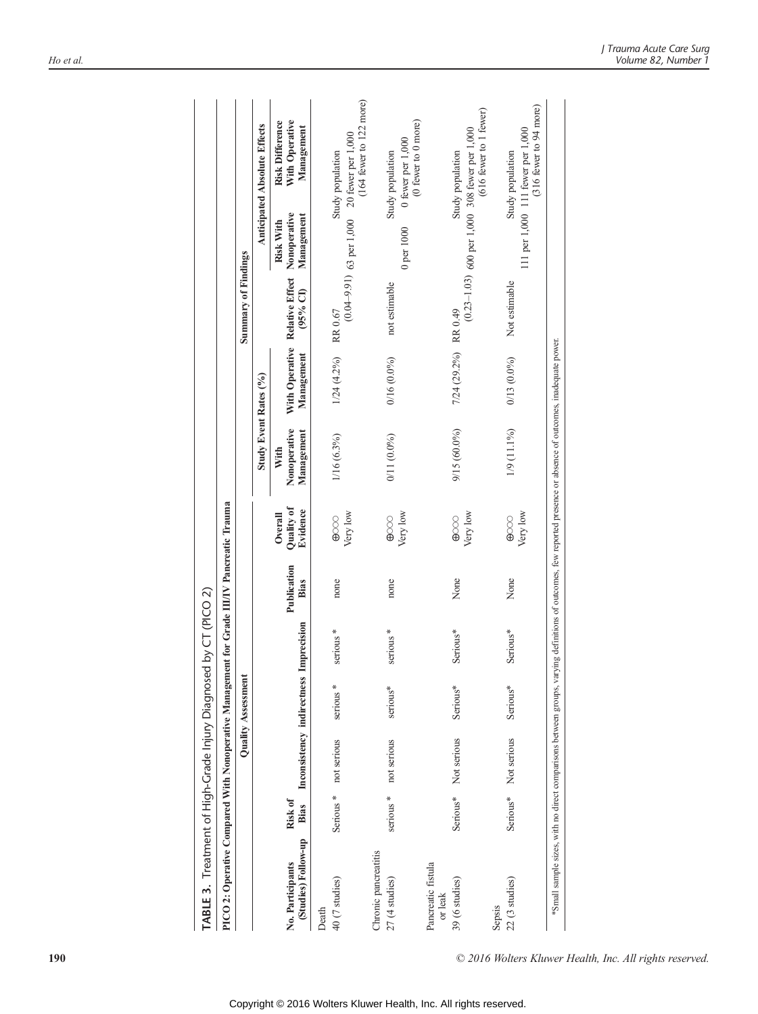| TABLE 3. Treatment of High-Grade Injury Diagnosed by CT (PICO 2)                                                                                                 |                 |                            |                           |                      |                            |                                   |                                    |                                              |                            |                                                                                                    |  |
|------------------------------------------------------------------------------------------------------------------------------------------------------------------|-----------------|----------------------------|---------------------------|----------------------|----------------------------|-----------------------------------|------------------------------------|----------------------------------------------|----------------------------|----------------------------------------------------------------------------------------------------|--|
| PICO 2: Operative Compared With Nonoperative Management for Grade IIIIV Pancreatic Trauma                                                                        |                 |                            |                           |                      |                            |                                   |                                    |                                              |                            |                                                                                                    |  |
|                                                                                                                                                                  |                 |                            | <b>Quality Assessment</b> |                      |                            |                                   |                                    |                                              | <b>Summary of Findings</b> |                                                                                                    |  |
|                                                                                                                                                                  |                 |                            |                           |                      |                            |                                   | <b>Study Event Rates (%)</b>       |                                              |                            | <b>Anticipated Absolute Effects</b>                                                                |  |
| (Studies) Follow-up<br>No. Participants                                                                                                                          | Risk of<br>Bias | Inconsistency indirectness |                           | Imprecision          | Publication<br><b>Bias</b> | Quality of<br>Evidence<br>Overall | Nonoperative<br>Management<br>With | With Operative Relative Effect<br>Management | $(95%$ CI)                 | <b>Risk Difference</b><br>With Operative<br>Management<br>Nonoperative<br>Management<br>Risk With  |  |
| 40 (7 studies)<br>Death                                                                                                                                          | Serious*        | not serious                | serious *                 | serious *            | none                       | Very low<br>$\frac{1}{\theta}$    | 1/16 (6.3%)                        | $1/24$ (4.2%)                                | RR 0.67                    | $(164$ fewer to $122$ more)<br>$(0.04 - 9.91)$ 63 per 1,000 20 fewer per 1,000<br>Study population |  |
| Chronic pancreatitis<br>$27(4$ studies)                                                                                                                          | serious*        | not serious                | serious*                  | serious <sup>*</sup> | none                       | Very low<br>$\frac{1}{\theta}$    | $0/11(0.0\%)$                      | $0/16(0.0\%)$                                | not estimable              | $0$ fewer per $1,000$<br>Study population<br>0 per 1000                                            |  |
| Pancreatic fistula<br>39 (6 studies)<br>or leak                                                                                                                  | Serious*        | Not serious                | Serious*                  | Serious*             | None                       | Very low<br>$\frac{1}{\theta}$    | 9/15 (60.0%)                       | $7/24$ $(29.2%$ RR 0.49                      |                            | (0 fewer to 0 more)<br>$(0.23 - 1.03)$ 600 per 1,000 308 fewer per 1,000<br>Study population       |  |
| 22 (3 studies)<br>Sepsis                                                                                                                                         | Serious*        | Not serious                | Serious*                  | Serious*             | None                       | Very low<br>$\frac{1}{2}$         | 1/9 (11.1%)                        | $0/13(0.0\%)$                                | Not estimable              | (616 fewer to 1 fewer)<br>111 per 1,000 111 fewer per 1,000<br>Study population                    |  |
| *Small sample sizes, with no direct comparisons between groups, varying definitions of outcomes, few reported presence or absence of outcomes, inadequate power. |                 |                            |                           |                      |                            |                                   |                                    |                                              |                            | $(316$ fewer to $94$ more)                                                                         |  |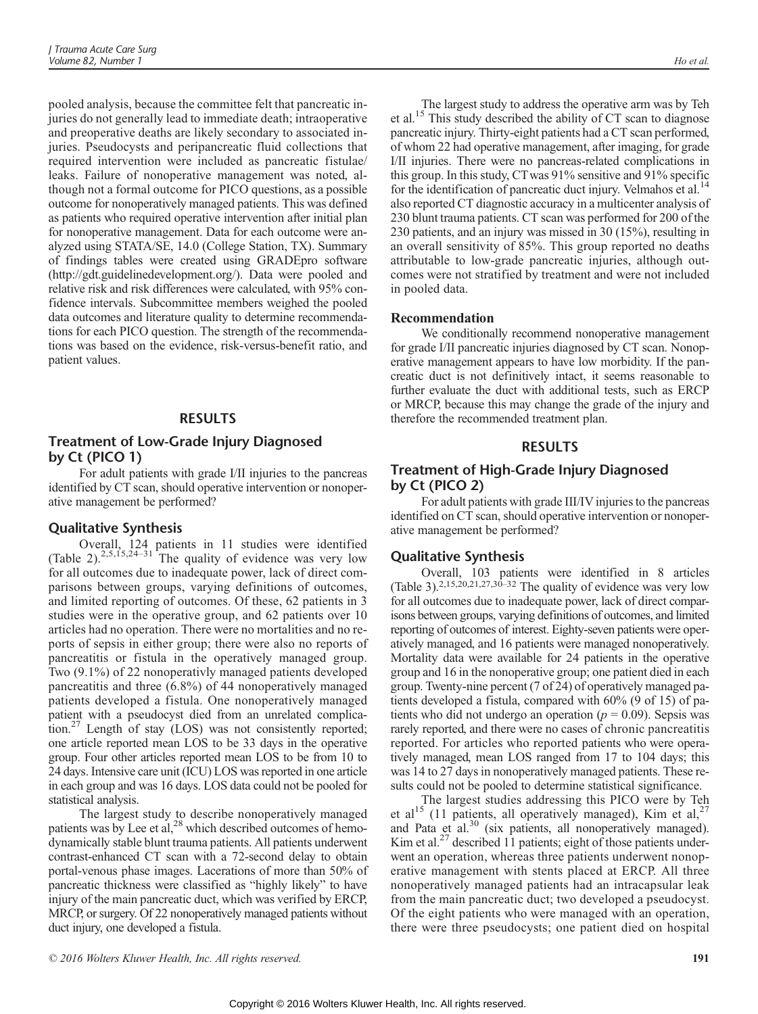pooled analysis, because the committee felt that pancreatic injuries do not generally lead to immediate death; intraoperative and preoperative deaths are likely secondary to associated injuries. Pseudocysts and peripancreatic fluid collections that required intervention were included as pancreatic fistulae/ leaks. Failure of nonoperative management was noted, although not a formal outcome for PICO questions, as a possible outcome for nonoperatively managed patients. This was defined as patients who required operative intervention after initial plan for nonoperative management. Data for each outcome were analyzed using STATA/SE, 14.0 (College Station, TX). Summary of findings tables were created using GRADEpro software [\(http://gdt.guidelinedevelopment.org/\)](http://gdt.guidelinedevelopment.org/). Data were pooled and relative risk and risk differences were calculated, with 95% confidence intervals. Subcommittee members weighed the pooled data outcomes and literature quality to determine recommendations for each PICO question. The strength of the recommendations was based on the evidence, risk-versus-benefit ratio, and patient values.

#### RESULTS

## Treatment of Low-Grade Injury Diagnosed by Ct (PICO 1)

For adult patients with grade I/II injuries to the pancreas identified by CT scan, should operative intervention or nonoperative management be performed?

#### Qualitative Synthesis

Overall, 124 patients in 11 studies were identified (Table 2). $2,5,15,24-31$  The quality of evidence was very low for all outcomes due to inadequate power, lack of direct comparisons between groups, varying definitions of outcomes, and limited reporting of outcomes. Of these, 62 patients in 3 studies were in the operative group, and 62 patients over 10 articles had no operation. There were no mortalities and no reports of sepsis in either group; there were also no reports of pancreatitis or fistula in the operatively managed group. Two (9.1%) of 22 nonoperativly managed patients developed pancreatitis and three (6.8%) of 44 nonoperatively managed patients developed a fistula. One nonoperatively managed patient with a pseudocyst died from an unrelated complication.27 Length of stay (LOS) was not consistently reported; one article reported mean LOS to be 33 days in the operative group. Four other articles reported mean LOS to be from 10 to 24 days. Intensive care unit (ICU) LOS was reported in one article in each group and was 16 days. LOS data could not be pooled for statistical analysis.

The largest study to describe nonoperatively managed patients was by Lee et al,<sup>28</sup> which described outcomes of hemodynamically stable blunt trauma patients. All patients underwent contrast-enhanced CT scan with a 72-second delay to obtain portal-venous phase images. Lacerations of more than 50% of pancreatic thickness were classified as "highly likely" to have injury of the main pancreatic duct, which was verified by ERCP, MRCP, or surgery. Of 22 nonoperatively managed patients without duct injury, one developed a fistula.

The largest study to address the operative arm was by Teh et al.<sup>15</sup> This study described the ability of CT scan to diagnose pancreatic injury. Thirty-eight patients had a CT scan performed, of whom 22 had operative management, after imaging, for grade I/II injuries. There were no pancreas-related complications in this group. In this study, CTwas 91% sensitive and 91% specific for the identification of pancreatic duct injury. Velmahos et al.<sup>14</sup> also reported CT diagnostic accuracy in a multicenter analysis of 230 blunt trauma patients. CT scan was performed for 200 of the 230 patients, and an injury was missed in 30 (15%), resulting in an overall sensitivity of 85%. This group reported no deaths attributable to low-grade pancreatic injuries, although outcomes were not stratified by treatment and were not included in pooled data.

#### Recommendation

We conditionally recommend nonoperative management for grade I/II pancreatic injuries diagnosed by CT scan. Nonoperative management appears to have low morbidity. If the pancreatic duct is not definitively intact, it seems reasonable to further evaluate the duct with additional tests, such as ERCP or MRCP, because this may change the grade of the injury and therefore the recommended treatment plan.

#### RESULTS

## Treatment of High-Grade Injury Diagnosed by Ct (PICO 2)

For adult patients with grade III/IV injuries to the pancreas identified on CT scan, should operative intervention or nonoperative management be performed?

#### Qualitative Synthesis

Overall, 103 patients were identified in 8 articles (Table 3).<sup>2,15,20,21,27,30–32</sup> The quality of evidence was very low for all outcomes due to inadequate power, lack of direct comparisons between groups, varying definitions of outcomes, and limited reporting of outcomes of interest. Eighty-seven patients were operatively managed, and 16 patients were managed nonoperatively. Mortality data were available for 24 patients in the operative group and 16 in the nonoperative group; one patient died in each group. Twenty-nine percent (7 of 24) of operatively managed patients developed a fistula, compared with 60% (9 of 15) of patients who did not undergo an operation ( $p = 0.09$ ). Sepsis was rarely reported, and there were no cases of chronic pancreatitis reported. For articles who reported patients who were operatively managed, mean LOS ranged from 17 to 104 days; this was 14 to 27 days in nonoperatively managed patients. These results could not be pooled to determine statistical significance.

The largest studies addressing this PICO were by Teh et al<sup>15</sup> (11 patients, all operatively managed), Kim et al,<sup>27</sup> and Pata et al.<sup>30</sup> (six patients, all nonoperatively managed). Kim et al.<sup>27</sup> described 11 patients; eight of those patients underwent an operation, whereas three patients underwent nonoperative management with stents placed at ERCP. All three nonoperatively managed patients had an intracapsular leak from the main pancreatic duct; two developed a pseudocyst. Of the eight patients who were managed with an operation, there were three pseudocysts; one patient died on hospital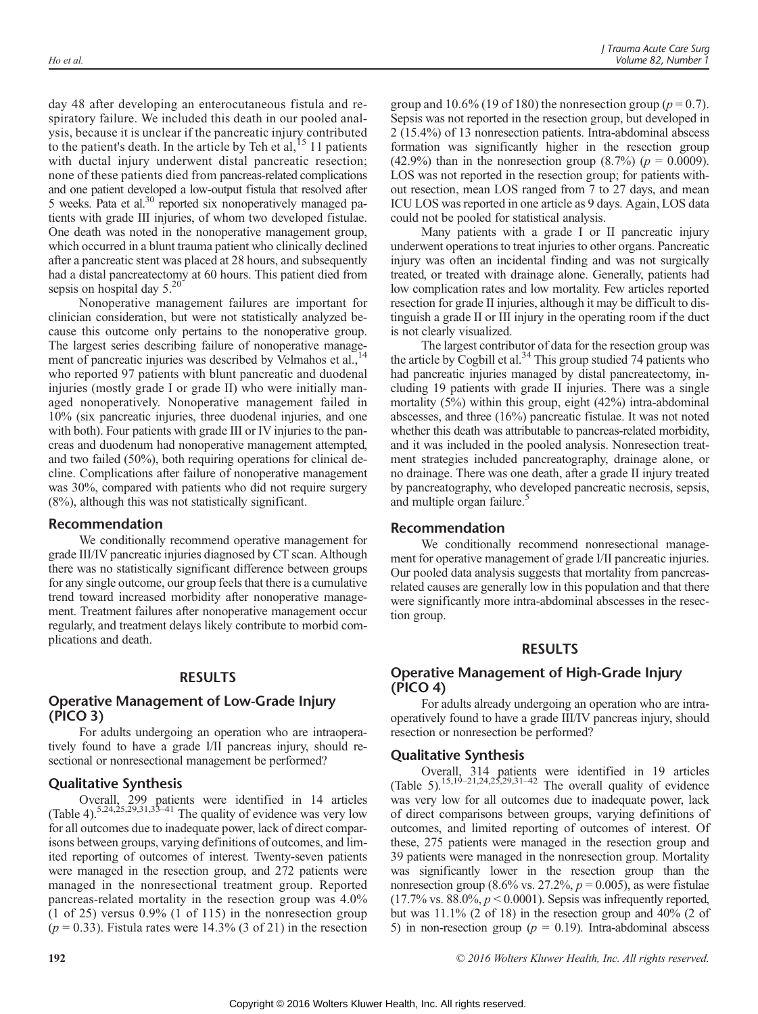day 48 after developing an enterocutaneous fistula and respiratory failure. We included this death in our pooled analysis, because it is unclear if the pancreatic injury contributed to the patient's death. In the article by Teh et al,  $^{15}$  11 patients with ductal injury underwent distal pancreatic resection; none of these patients died from pancreas-related complications and one patient developed a low-output fistula that resolved after 5 weeks. Pata et al.<sup>30</sup> reported six nonoperatively managed patients with grade III injuries, of whom two developed fistulae. One death was noted in the nonoperative management group, which occurred in a blunt trauma patient who clinically declined after a pancreatic stent was placed at 28 hours, and subsequently had a distal pancreatectomy at 60 hours. This patient died from sepsis on hospital day  $5.^{20}$ 

Nonoperative management failures are important for clinician consideration, but were not statistically analyzed because this outcome only pertains to the nonoperative group. The largest series describing failure of nonoperative management of pancreatic injuries was described by Velmahos et al.,<sup>14</sup> who reported 97 patients with blunt pancreatic and duodenal injuries (mostly grade I or grade II) who were initially managed nonoperatively. Nonoperative management failed in 10% (six pancreatic injuries, three duodenal injuries, and one with both). Four patients with grade III or IV injuries to the pancreas and duodenum had nonoperative management attempted, and two failed (50%), both requiring operations for clinical decline. Complications after failure of nonoperative management was 30%, compared with patients who did not require surgery (8%), although this was not statistically significant.

#### Recommendation

We conditionally recommend operative management for grade III/IV pancreatic injuries diagnosed by CT scan. Although there was no statistically significant difference between groups for any single outcome, our group feels that there is a cumulative trend toward increased morbidity after nonoperative management. Treatment failures after nonoperative management occur regularly, and treatment delays likely contribute to morbid complications and death.

## RESULTS

## Operative Management of Low-Grade Injury (PICO 3)

For adults undergoing an operation who are intraoperatively found to have a grade I/II pancreas injury, should resectional or nonresectional management be performed?

## Qualitative Synthesis

Overall, 299 patients were identified in 14 articles (Table 4).<sup>5,24,25,29,31,33–41</sup> The quality of evidence was very low for all outcomes due to inadequate power, lack of direct comparisons between groups, varying definitions of outcomes, and limited reporting of outcomes of interest. Twenty-seven patients were managed in the resection group, and 272 patients were managed in the nonresectional treatment group. Reported pancreas-related mortality in the resection group was 4.0% (1 of 25) versus 0.9% (1 of 115) in the nonresection group  $(p = 0.33)$ . Fistula rates were 14.3% (3 of 21) in the resection

group and 10.6% (19 of 180) the nonresection group ( $p = 0.7$ ). Sepsis was not reported in the resection group, but developed in 2 (15.4%) of 13 nonresection patients. Intra-abdominal abscess formation was significantly higher in the resection group (42.9%) than in the nonresection group  $(8.7%)$  ( $p = 0.0009$ ). LOS was not reported in the resection group; for patients without resection, mean LOS ranged from 7 to 27 days, and mean ICU LOS was reported in one article as 9 days. Again, LOS data could not be pooled for statistical analysis.

Many patients with a grade I or II pancreatic injury underwent operations to treat injuries to other organs. Pancreatic injury was often an incidental finding and was not surgically treated, or treated with drainage alone. Generally, patients had low complication rates and low mortality. Few articles reported resection for grade II injuries, although it may be difficult to distinguish a grade II or III injury in the operating room if the duct is not clearly visualized.

The largest contributor of data for the resection group was the article by Cogbill et al. $34$  This group studied 74 patients who had pancreatic injuries managed by distal pancreatectomy, including 19 patients with grade II injuries. There was a single mortality (5%) within this group, eight (42%) intra-abdominal abscesses, and three (16%) pancreatic fistulae. It was not noted whether this death was attributable to pancreas-related morbidity, and it was included in the pooled analysis. Nonresection treatment strategies included pancreatography, drainage alone, or no drainage. There was one death, after a grade II injury treated by pancreatography, who developed pancreatic necrosis, sepsis, and multiple organ failure.<sup>5</sup>

#### Recommendation

We conditionally recommend nonresectional management for operative management of grade I/II pancreatic injuries. Our pooled data analysis suggests that mortality from pancreasrelated causes are generally low in this population and that there were significantly more intra-abdominal abscesses in the resection group.

#### RESULTS

## Operative Management of High-Grade Injury (PICO 4)

For adults already undergoing an operation who are intraoperatively found to have a grade III/IV pancreas injury, should resection or nonresection be performed?

## Qualitative Synthesis

Overall, 314 patients were identified in 19 articles (Table 5).<sup>15,19–21,24,25,29,31–42</sup> The overall quality of evidence was very low for all outcomes due to inadequate power, lack of direct comparisons between groups, varying definitions of outcomes, and limited reporting of outcomes of interest. Of these, 275 patients were managed in the resection group and 39 patients were managed in the nonresection group. Mortality was significantly lower in the resection group than the nonresection group (8.6% vs. 27.2%,  $p = 0.005$ ), as were fistulae  $(17.7\% \text{ vs. } 88.0\%, p \le 0.0001)$ . Sepsis was infrequently reported, but was 11.1% (2 of 18) in the resection group and 40% (2 of 5) in non-resection group ( $p = 0.19$ ). Intra-abdominal abscess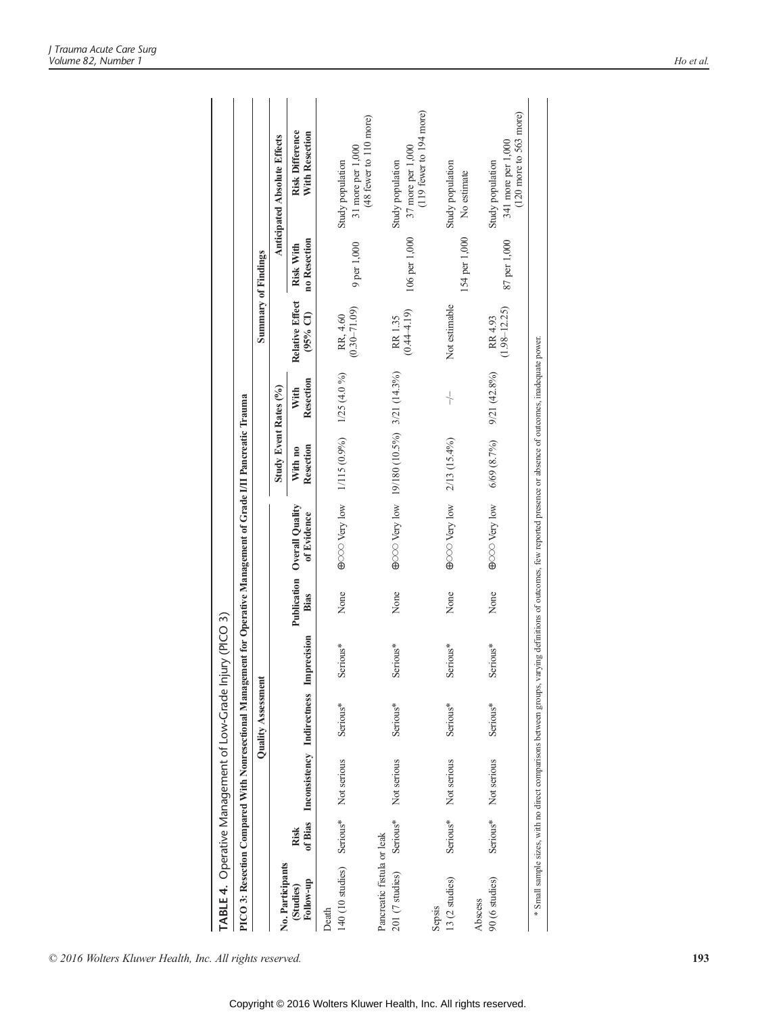| TABLE 4. Operative Management of Low-Grade Injury (PICO 3) |          |                                                |                           |          |             | PICO 3: Resection Compared With Nonresectional Management for Operative Management of Grade I/II Pancreatic Trauma                                                |                              |                   |                                      |                                  |                                                                 |
|------------------------------------------------------------|----------|------------------------------------------------|---------------------------|----------|-------------|-------------------------------------------------------------------------------------------------------------------------------------------------------------------|------------------------------|-------------------|--------------------------------------|----------------------------------|-----------------------------------------------------------------|
|                                                            |          |                                                | <b>Quality Assessment</b> |          |             |                                                                                                                                                                   |                              |                   | Summary of Findings                  |                                  |                                                                 |
| No. Participants                                           |          |                                                |                           |          |             |                                                                                                                                                                   | <b>Study Event Rates (%)</b> |                   |                                      |                                  | <b>Anticipated Absolute Effects</b>                             |
| Follow-up<br>(Studies)                                     | Risk     | of Bias Inconsistency Indirectness Imprecision |                           |          | <b>Bias</b> | Publication Overall Quality<br>of Evidence                                                                                                                        | Resection<br>With no         | Resection<br>With | <b>Relative Effect</b><br>$(95%$ CI) | no Resection<br><b>Risk With</b> | <b>Risk Difference</b><br>With Resection                        |
| 140 (10 studies) Serious* Not serious<br>Death             |          |                                                | Serious*                  | Serious* | None        | $\bigoplus$ $\bigodot$ $\bigcirc$ $\bigvee$ $\text{try}$ $\text{low}$ $1/115$ (0.9%) $1/25$ (4.0%)                                                                |                              |                   | $(0.30 - 71.09)$<br>RR, 4.60         | 9 per 1,000                      | 31 more per 1,000<br>Study population                           |
| Pancreatic fistula or leak<br>201 (7 studies)              | Serious* | Not serious                                    | Serious*                  | Serious* | None        | $\bigoplus$ OO Very low 19/180 (10.5%) 3/21 (14.3%)                                                                                                               |                              |                   | $(0.44 - 4.19)$<br>RR 1.35           | 106 per 1,000                    | (48 fewer to 110 more)<br>37 more per 1,000<br>Study population |
| 13 (2 studies)<br>Sepsis                                   |          | Serious* Not serious                           | Serious*                  | Serious* | None        | $\Theta$ O Very low $2/13$ (15.4%)                                                                                                                                |                              | $\downarrow$      | Not estimable                        |                                  | $(119)$ fewer to $194$ more)<br>Study population                |
| 90 (6 studies)<br>Abscess                                  | Serious* | Not serious                                    | Serious*                  | Serious* | None        | ⊕OOO Very low                                                                                                                                                     | 6/69 (8.7%)                  | 9/21 (42.8%)      | RR 4.93                              | 154 per 1,000                    | Study population<br>No estimate                                 |
|                                                            |          |                                                |                           |          |             |                                                                                                                                                                   |                              |                   | $(1.98 - 12.25)$                     | 87 per 1,000                     | $(120$ more to 563 more)<br>341 more per 1,000                  |
|                                                            |          |                                                |                           |          |             | * Small sample sizes, with no direct comparisons between groups, varying definitions of outcomes, few reported presence or absence of outcomes, inadequate power. |                              |                   |                                      |                                  |                                                                 |

L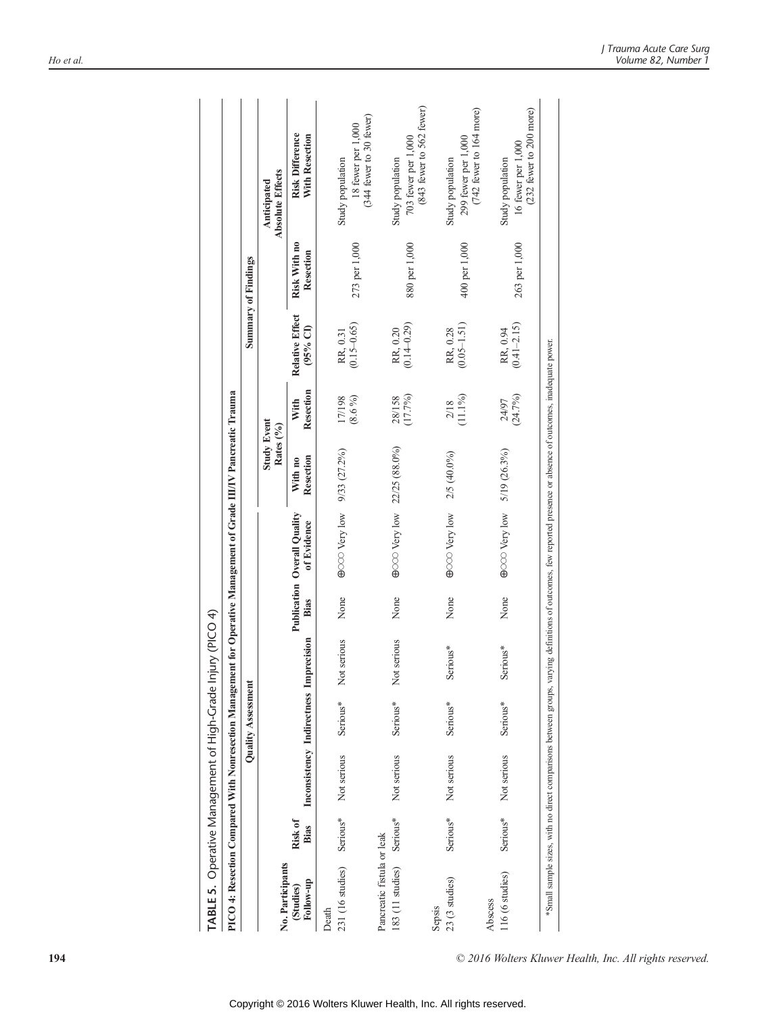| TABLE 5. Operative Management of High-Grade Injury (PICO 4) |                        |                                        |                           |             |      | PICO 4: Resection Compared With Nonresection Management for Operative Management of Grade III/IV Pancreatic Trauma                                                                                                                                                                                                                    |                                 |                     |                                               |                           |                                                                     |
|-------------------------------------------------------------|------------------------|----------------------------------------|---------------------------|-------------|------|---------------------------------------------------------------------------------------------------------------------------------------------------------------------------------------------------------------------------------------------------------------------------------------------------------------------------------------|---------------------------------|---------------------|-----------------------------------------------|---------------------------|---------------------------------------------------------------------|
|                                                             |                        |                                        | <b>Quality Assessment</b> |             |      |                                                                                                                                                                                                                                                                                                                                       |                                 |                     |                                               | Summary of Findings       |                                                                     |
| No. Participants                                            |                        |                                        |                           |             |      |                                                                                                                                                                                                                                                                                                                                       | <b>Study Event</b><br>Rates (%) |                     |                                               |                           | <b>Absolute Effects</b><br>Anticipated                              |
| Follow-up<br>(Studies)                                      | Risk of<br><b>Bias</b> | Inconsistency Indirectness Imprecision |                           |             | Bias | Publication Overall Quality<br>of Evidence                                                                                                                                                                                                                                                                                            | Resection<br>With no            | Resection<br>With   | <b>Relative Effect</b><br>$(95\% \text{ Cl})$ | Risk With no<br>Resection | <b>Risk Difference</b><br><b>With Resection</b>                     |
| 231 (16 studies) Serious*<br>Death                          |                        | Not serious                            | Serious*                  | Not serious | None | $\bigoplus$ $\bigcirc$ $\bigcirc$ $\bigvee$ $\bigcirc$ $\bigvee$ $\bigcirc$ $\bigvee$ $\bigvee$ $\bigvee$ $\bigvee$ $\bigvee$ $\bigvee$ $\bigvee$ $\bigvee$ $\bigvee$ $\bigvee$ $\bigvee$ $\bigvee$ $\bigvee$ $\bigvee$ $\bigvee$ $\bigvee$ $\bigvee$ $\bigvee$ $\bigvee$ $\bigvee$ $\bigvee$ $\bigvee$ $\bigvee$ $\bigvee$ $\bigvee$ |                                 | $(6.6\%)$<br>17/198 | $(0.15 - 0.65)$<br>RR, 0.31                   | 273 per 1,000             | $(344$ fewer to 30 fewer)<br>18 fewer per 1,000<br>Study population |
| Pancreatic fistula or leak<br>183 (11 studies)              | Serious*               | Not serious                            | Serious*                  | Not serious | None | $\bigoplus$ $\bigodot$ $\bigvee$ $\bigcirc$ $\bigvee$ $\bigcirc$ $\bigvee$ $\bigvee$ $\bigvee$ $\bigvee$ $\bigvee$ $\bigvee$ $\bigvee$ $\bigvee$ $\bigvee$ $\bigvee$ $\bigvee$ $\bigvee$ $\bigvee$ $\bigvee$ $\bigvee$ $\bigvee$ $\bigvee$ $\bigvee$ $\bigvee$ $\bigvee$ $\bigvee$ $\bigvee$ $\bigvee$ $\bigvee$ $\bigvee$ $\bigvee$  |                                 | (17.7%)<br>28/158   | $(0.14 - 0.29)$<br>RR, 0.20                   | 880 per 1,000             | 703 fewer per 1,000<br>Study population                             |
| 23 (3 studies)<br>Sepsis                                    | Serious*               | Not serious                            | Serious*                  | Serious*    | None | ⊕ooo Very low                                                                                                                                                                                                                                                                                                                         | 2/5 (40.0%)                     | $(11.1\%)$<br>2/18  | $(0.05 - 1.51)$<br>RR, 0.28                   | 400 per 1,000             | (843 fewer to 562 fewer)<br>299 fewer per 1,000<br>Study population |
| 116 (6 studies)<br>Abscess                                  | Serious*               | Not serious                            | Serious*                  | Serious*    | None | ⊕oo Very low                                                                                                                                                                                                                                                                                                                          | 5/19 (26.3%)                    | (24.7%)<br>24/97    | $(0.41 - 2.15)$<br>RR, 0.94                   | 263 per 1,000             | (742 fewer to 164 more)<br>16 fewer per 1,000<br>Study population   |
|                                                             |                        |                                        |                           |             |      | *Small sample sizes, with no direct comparisons between groups, varying definitions of outcomes, few reported presence or absence of outcomes, inadequate power                                                                                                                                                                       |                                 |                     |                                               |                           | $(232)$ fewer to $200$ more)                                        |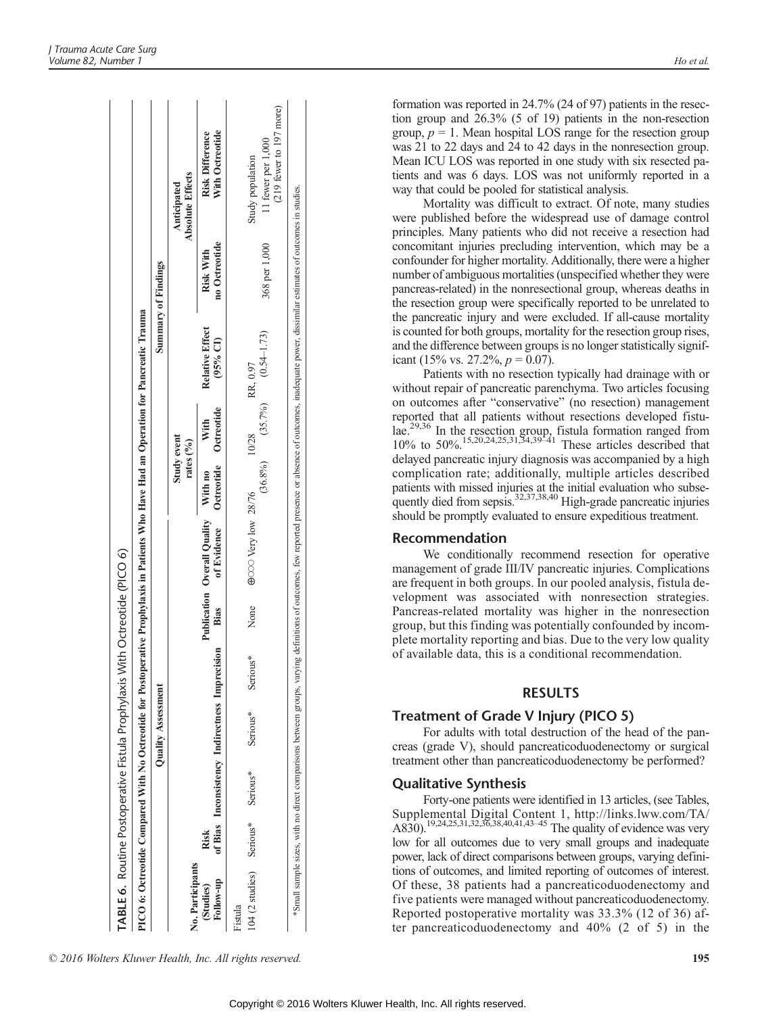|      |                                   |          |                                                                                 |                                                |                                  |                                                                   |                                                                                 |                                                 | <b>Absolute Effects</b><br>Anticipated                                                                                                                                                                                                                                                                                                                                |
|------|-----------------------------------|----------|---------------------------------------------------------------------------------|------------------------------------------------|----------------------------------|-------------------------------------------------------------------|---------------------------------------------------------------------------------|-------------------------------------------------|-----------------------------------------------------------------------------------------------------------------------------------------------------------------------------------------------------------------------------------------------------------------------------------------------------------------------------------------------------------------------|
| Risk |                                   |          | Bias                                                                            |                                                |                                  | With                                                              | <b>Relative Effect</b><br>$(95%$ CI)                                            | no Octreotide<br>Risk With                      | With Octreotide<br><b>Risk Difference</b>                                                                                                                                                                                                                                                                                                                             |
|      |                                   |          |                                                                                 |                                                |                                  |                                                                   |                                                                                 |                                                 |                                                                                                                                                                                                                                                                                                                                                                       |
|      | Serious*                          | Serious* |                                                                                 |                                                |                                  |                                                                   |                                                                                 | 368 per 1,000                                   | $(219$ fewer to $197$ more)<br>11 fewer per 1,000<br>Study population                                                                                                                                                                                                                                                                                                 |
|      |                                   |          |                                                                                 |                                                |                                  |                                                                   |                                                                                 |                                                 |                                                                                                                                                                                                                                                                                                                                                                       |
|      | 104 (2 studies) Serious* Serious* |          | TABLE 6. Routine Postoperative Fistula Prophylaxis<br><b>Quality Assessment</b> | of Bias Inconsistency Indirectness Imprecision | With Octreotide (PICO 6)<br>None | Publication Overall Quality With no<br><b>⊕</b> ○○ Very low 28/76 | of Evidence Octreotide Octreotide<br>10/28<br><b>Study event</b><br>rates $(%)$ | $(36.8\%)$ $(35.7\%)$ $(0.54-1.73)$<br>RR, 0.97 | *Small sample sizes, with no direct comparisons between groups, varying definitions of outcomes, few reported presence of outcomes, inadequate power, dissimilar estimates of outcomes in studies.<br>Summary of Findings<br>PICO 6: Octreotide Compared With No Octreotide for Postoperative Prophylaxis in Patients Who Have Had an Operation for Pancreatic Trauma |

formation was reported in 24.7% (24 of 97) patients in the resection group and 26.3% (5 of 19) patients in the non-resection group,  $p = 1$ . Mean hospital LOS range for the resection group was 21 to 22 days and 24 to 42 days in the nonresection group. Mean ICU LOS was reported in one study with six resected patients and was 6 days. LOS was not uniformly reported in a way that could be pooled for statistical analysis.

Mortality was difficult to extract. Of note, many studies were published before the widespread use of damage control principles. Many patients who did not receive a resection had concomitant injuries precluding intervention, which may be a confounder for higher mortality. Additionally, there were a higher number of ambiguous mortalities (unspecified whether they were pancreas-related) in the nonresectional group, whereas deaths in the resection group were specifically reported to be unrelated to the pancreatic injury and were excluded. If all-cause mortality is counted for both groups, mortality for the resection group rises, and the difference between groups is no longer statistically significant (15% vs. 27.2%,  $p = 0.07$ ).

Patients with no resection typically had drainage with or without repair of pancreatic parenchyma. Two articles focusing on outcomes after "conservative" (no resection) management reported that all patients without resections developed fistulae.<sup>29,36</sup> In the resection group, fistula formation ranged from 10% to 50%.15,20,24,25,31,34,39–<sup>41</sup> These articles described that delayed pancreatic injury diagnosis was accompanied by a high complication rate; additionally, multiple articles described patients with missed injuries at the initial evaluation who subsequently died from sepsis.<sup>32,37,38,40</sup> High-grade pancreatic injuries should be promptly evaluated to ensure expeditious treatment.

## Recommendation

We conditionally recommend resection for operative management of grade III/IV pancreatic injuries. Complications are frequent in both groups. In our pooled analysis, fistula development was associated with nonresection strategies. Pancreas-related mortality was higher in the nonresection group, but this finding was potentially confounded by incomplete mortality reporting and bias. Due to the very low quality of available data, this is a conditional recommendation.

## RESULTS

## Treatment of Grade V Injury (PICO 5)

For adults with total destruction of the head of the pancreas (grade V), should pancreaticoduodenectomy or surgical treatment other than pancreaticoduodenectomy be performed?

## Qualitative Synthesis

Forty-one patients were identified in 13 articles, (see Tables, Supplemental Digital Content 1, [http://links.lww.com/TA/](http://links.lww.com/TA/A830) [A830\)](http://links.lww.com/TA/A830).19,24,25,31,32,36,38,40,41,43–<sup>45</sup> The quality of evidence was very low for all outcomes due to very small groups and inadequate power, lack of direct comparisons between groups, varying definitions of outcomes, and limited reporting of outcomes of interest. Of these, 38 patients had a pancreaticoduodenectomy and five patients were managed without pancreaticoduodenectomy. Reported postoperative mortality was 33.3% (12 of 36) after pancreaticoduodenectomy and 40% (2 of 5) in the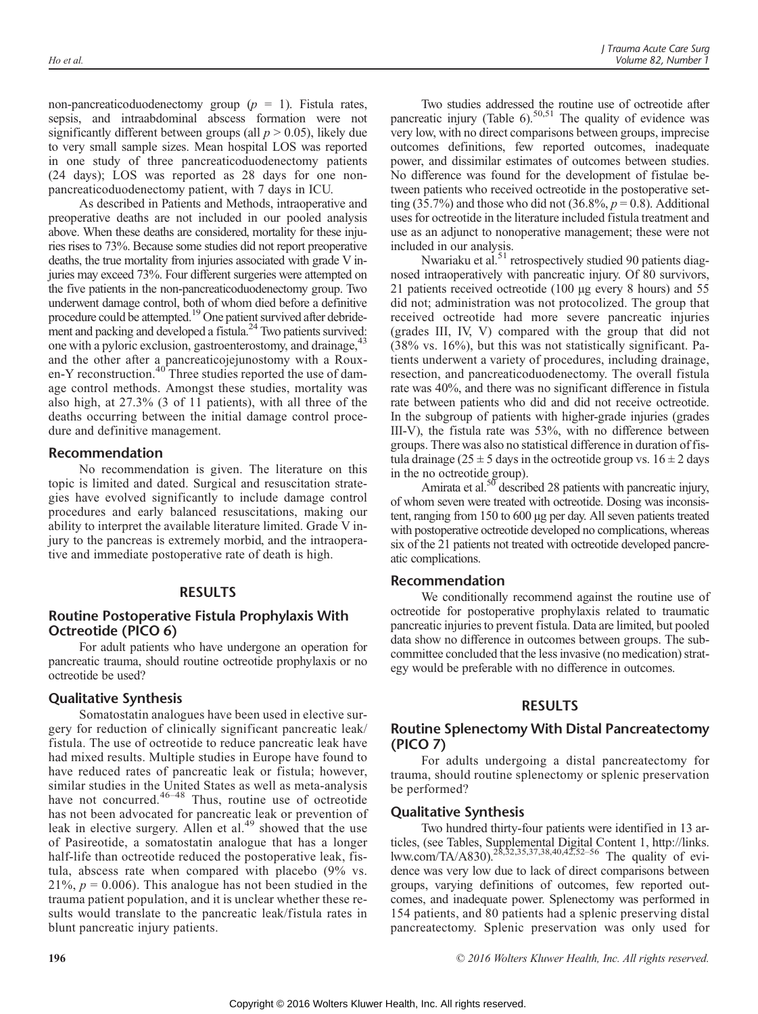non-pancreaticoduodenectomy group  $(p = 1)$ . Fistula rates, sepsis, and intraabdominal abscess formation were not significantly different between groups (all  $p > 0.05$ ), likely due to very small sample sizes. Mean hospital LOS was reported in one study of three pancreaticoduodenectomy patients (24 days); LOS was reported as 28 days for one nonpancreaticoduodenectomy patient, with 7 days in ICU.

As described in Patients and Methods, intraoperative and preoperative deaths are not included in our pooled analysis above. When these deaths are considered, mortality for these injuries rises to 73%. Because some studies did not report preoperative deaths, the true mortality from injuries associated with grade V injuries may exceed 73%. Four different surgeries were attempted on the five patients in the non-pancreaticoduodenectomy group. Two underwent damage control, both of whom died before a definitive procedure could be attempted.<sup>19</sup> One patient survived after debridement and packing and developed a fistula.<sup>24</sup> Two patients survived: one with a pyloric exclusion, gastroenterostomy, and drainage, <sup>43</sup> and the other after a pancreaticojejunostomy with a Rouxen-Y reconstruction.<sup>40</sup> Three studies reported the use of damage control methods. Amongst these studies, mortality was also high, at 27.3% (3 of 11 patients), with all three of the deaths occurring between the initial damage control procedure and definitive management.

#### Recommendation

No recommendation is given. The literature on this topic is limited and dated. Surgical and resuscitation strategies have evolved significantly to include damage control procedures and early balanced resuscitations, making our ability to interpret the available literature limited. Grade V injury to the pancreas is extremely morbid, and the intraoperative and immediate postoperative rate of death is high.

#### RESULTS

### Routine Postoperative Fistula Prophylaxis With Octreotide (PICO 6)

For adult patients who have undergone an operation for pancreatic trauma, should routine octreotide prophylaxis or no octreotide be used?

#### Qualitative Synthesis

Somatostatin analogues have been used in elective surgery for reduction of clinically significant pancreatic leak/ fistula. The use of octreotide to reduce pancreatic leak have had mixed results. Multiple studies in Europe have found to have reduced rates of pancreatic leak or fistula; however, similar studies in the United States as well as meta-analysis have not concurred.<sup>46-48</sup> Thus, routine use of octreotide has not been advocated for pancreatic leak or prevention of leak in elective surgery. Allen et al.<sup>49</sup> showed that the use of Pasireotide, a somatostatin analogue that has a longer half-life than octreotide reduced the postoperative leak, fistula, abscess rate when compared with placebo (9% vs. 21%,  $p = 0.006$ ). This analogue has not been studied in the trauma patient population, and it is unclear whether these results would translate to the pancreatic leak/fistula rates in blunt pancreatic injury patients.

Two studies addressed the routine use of octreotide after pancreatic injury (Table 6).<sup>50,51</sup> The quality of evidence was very low, with no direct comparisons between groups, imprecise outcomes definitions, few reported outcomes, inadequate power, and dissimilar estimates of outcomes between studies. No difference was found for the development of fistulae between patients who received octreotide in the postoperative setting (35.7%) and those who did not (36.8%,  $p = 0.8$ ). Additional uses for octreotide in the literature included fistula treatment and use as an adjunct to nonoperative management; these were not included in our analysis.

Nwariaku et al.<sup>51</sup> retrospectively studied 90 patients diagnosed intraoperatively with pancreatic injury. Of 80 survivors, 21 patients received octreotide (100 μg every 8 hours) and 55 did not; administration was not protocolized. The group that received octreotide had more severe pancreatic injuries (grades III, IV, V) compared with the group that did not (38% vs. 16%), but this was not statistically significant. Patients underwent a variety of procedures, including drainage, resection, and pancreaticoduodenectomy. The overall fistula rate was 40%, and there was no significant difference in fistula rate between patients who did and did not receive octreotide. In the subgroup of patients with higher-grade injuries (grades III-V), the fistula rate was 53%, with no difference between groups. There was also no statistical difference in duration of fistula drainage ( $25 \pm 5$  days in the octreotide group vs.  $16 \pm 2$  days in the no octreotide group).

Amirata et al.<sup>50</sup> described 28 patients with pancreatic injury, of whom seven were treated with octreotide. Dosing was inconsistent, ranging from 150 to 600 μg per day. All seven patients treated with postoperative octreotide developed no complications, whereas six of the 21 patients not treated with octreotide developed pancreatic complications.

#### Recommendation

We conditionally recommend against the routine use of octreotide for postoperative prophylaxis related to traumatic pancreatic injuries to prevent fistula. Data are limited, but pooled data show no difference in outcomes between groups. The subcommittee concluded that the less invasive (no medication) strategy would be preferable with no difference in outcomes.

#### RESULTS

## Routine Splenectomy With Distal Pancreatectomy (PICO 7)

For adults undergoing a distal pancreatectomy for trauma, should routine splenectomy or splenic preservation be performed?

## Qualitative Synthesis

Two hundred thirty-four patients were identified in 13 articles, (see Tables, Supplemental Digital Content 1, [http://links.](http://links.lww.com/TA/A830) [lww.com/TA/A830](http://links.lww.com/TA/A830)).<sup>28,32,35,37,38,40,42,52–56</sup> The quality of evidence was very low due to lack of direct comparisons between groups, varying definitions of outcomes, few reported outcomes, and inadequate power. Splenectomy was performed in 154 patients, and 80 patients had a splenic preserving distal pancreatectomy. Splenic preservation was only used for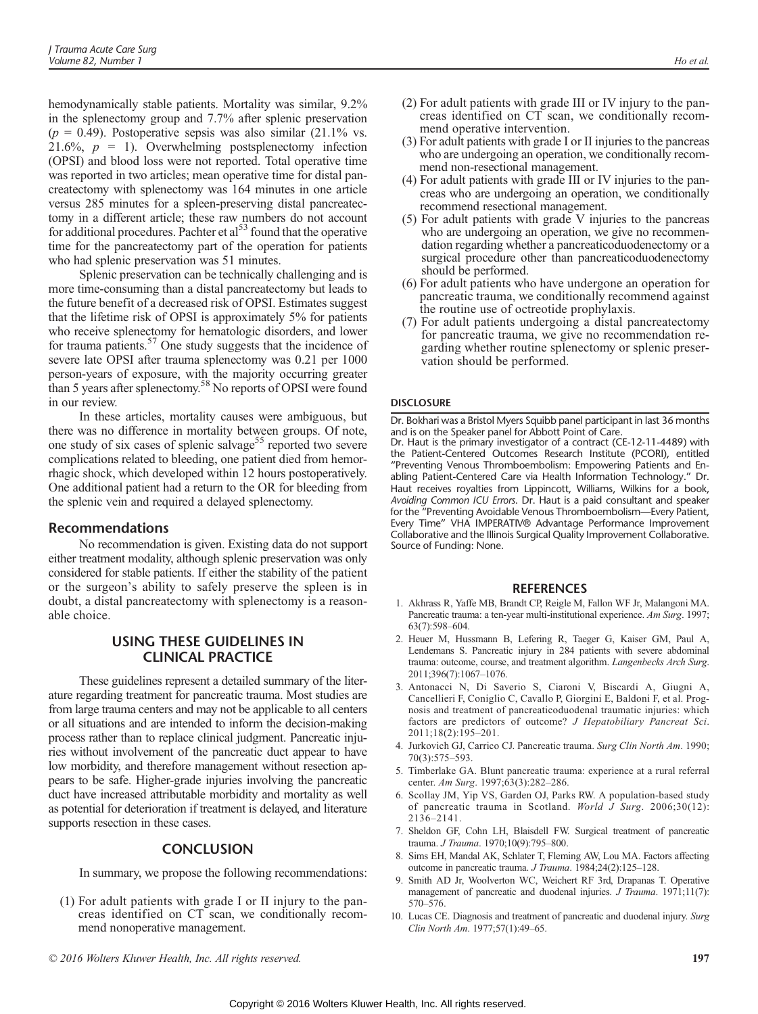hemodynamically stable patients. Mortality was similar, 9.2% in the splenectomy group and 7.7% after splenic preservation  $(p = 0.49)$ . Postoperative sepsis was also similar (21.1% vs.  $21.6\%$ ,  $p = 1$ ). Overwhelming postsplenectomy infection (OPSI) and blood loss were not reported. Total operative time was reported in two articles; mean operative time for distal pancreatectomy with splenectomy was 164 minutes in one article versus 285 minutes for a spleen-preserving distal pancreatectomy in a different article; these raw numbers do not account for additional procedures. Pachter et  $al<sup>53</sup>$  found that the operative time for the pancreatectomy part of the operation for patients who had splenic preservation was 51 minutes.

Splenic preservation can be technically challenging and is more time-consuming than a distal pancreatectomy but leads to the future benefit of a decreased risk of OPSI. Estimates suggest that the lifetime risk of OPSI is approximately 5% for patients who receive splenectomy for hematologic disorders, and lower for trauma patients.57 One study suggests that the incidence of severe late OPSI after trauma splenectomy was 0.21 per 1000 person-years of exposure, with the majority occurring greater than 5 years after splenectomy.<sup>58</sup> No reports of OPSI were found in our review.

In these articles, mortality causes were ambiguous, but there was no difference in mortality between groups. Of note, one study of six cases of splenic salvage<sup>55</sup> reported two severe complications related to bleeding, one patient died from hemorrhagic shock, which developed within 12 hours postoperatively. One additional patient had a return to the OR for bleeding from the splenic vein and required a delayed splenectomy.

#### Recommendations

No recommendation is given. Existing data do not support either treatment modality, although splenic preservation was only considered for stable patients. If either the stability of the patient or the surgeon's ability to safely preserve the spleen is in doubt, a distal pancreatectomy with splenectomy is a reasonable choice.

## USING THESE GUIDELINES IN CLINICAL PRACTICE

These guidelines represent a detailed summary of the literature regarding treatment for pancreatic trauma. Most studies are from large trauma centers and may not be applicable to all centers or all situations and are intended to inform the decision-making process rather than to replace clinical judgment. Pancreatic injuries without involvement of the pancreatic duct appear to have low morbidity, and therefore management without resection appears to be safe. Higher-grade injuries involving the pancreatic duct have increased attributable morbidity and mortality as well as potential for deterioration if treatment is delayed, and literature supports resection in these cases.

## **CONCLUSION**

In summary, we propose the following recommendations:

(1) For adult patients with grade I or II injury to the pancreas identified on CT scan, we conditionally recommend nonoperative management.

- (2) For adult patients with grade III or IV injury to the pancreas identified on CT scan, we conditionally recommend operative intervention.
- (3) For adult patients with grade I or II injuries to the pancreas who are undergoing an operation, we conditionally recommend non-resectional management.
- (4) For adult patients with grade III or IV injuries to the pancreas who are undergoing an operation, we conditionally recommend resectional management.
- (5) For adult patients with grade V injuries to the pancreas who are undergoing an operation, we give no recommendation regarding whether a pancreaticoduodenectomy or a surgical procedure other than pancreaticoduodenectomy should be performed.
- (6) For adult patients who have undergone an operation for pancreatic trauma, we conditionally recommend against the routine use of octreotide prophylaxis.
- (7) For adult patients undergoing a distal pancreatectomy for pancreatic trauma, we give no recommendation regarding whether routine splenectomy or splenic preservation should be performed.

#### **DISCLOSURE**

Dr. Bokhari was a Bristol Myers Squibb panel participant in last 36 months and is on the Speaker panel for Abbott Point of Care.

Dr. Haut is the primary investigator of a contract (CE-12-11-4489) with the Patient-Centered Outcomes Research Institute (PCORI), entitled "Preventing Venous Thromboembolism: Empowering Patients and Enabling Patient-Centered Care via Health Information Technology." Dr. Haut receives royalties from Lippincott, Williams, Wilkins for a book, Avoiding Common ICU Errors. Dr. Haut is a paid consultant and speaker for the "Preventing Avoidable Venous Thromboembolism—Every Patient, Every Time" VHA IMPERATIV® Advantage Performance Improvement Collaborative and the Illinois Surgical Quality Improvement Collaborative. Source of Funding: None.

#### **REFERENCES**

- 1. Akhrass R, Yaffe MB, Brandt CP, Reigle M, Fallon WF Jr, Malangoni MA. Pancreatic trauma: a ten-year multi-institutional experience. Am Surg. 1997; 63(7):598–604.
- 2. Heuer M, Hussmann B, Lefering R, Taeger G, Kaiser GM, Paul A, Lendemans S. Pancreatic injury in 284 patients with severe abdominal trauma: outcome, course, and treatment algorithm. Langenbecks Arch Surg. 2011;396(7):1067–1076.
- 3. Antonacci N, Di Saverio S, Ciaroni V, Biscardi A, Giugni A, Cancellieri F, Coniglio C, Cavallo P, Giorgini E, Baldoni F, et al. Prognosis and treatment of pancreaticoduodenal traumatic injuries: which factors are predictors of outcome? J Hepatobiliary Pancreat Sci. 2011;18(2):195–201.
- 4. Jurkovich GJ, Carrico CJ. Pancreatic trauma. Surg Clin North Am. 1990; 70(3):575–593.
- 5. Timberlake GA. Blunt pancreatic trauma: experience at a rural referral center. Am Surg. 1997;63(3):282–286.
- 6. Scollay JM, Yip VS, Garden OJ, Parks RW. A population-based study of pancreatic trauma in Scotland. World J Surg. 2006;30(12): 2136–2141.
- 7. Sheldon GF, Cohn LH, Blaisdell FW. Surgical treatment of pancreatic trauma. J Trauma. 1970;10(9):795–800.
- 8. Sims EH, Mandal AK, Schlater T, Fleming AW, Lou MA. Factors affecting outcome in pancreatic trauma. J Trauma. 1984;24(2):125–128.
- 9. Smith AD Jr, Woolverton WC, Weichert RF 3rd, Drapanas T. Operative management of pancreatic and duodenal injuries. *J Trauma*. 1971;11(7): 570–576.
- 10. Lucas CE. Diagnosis and treatment of pancreatic and duodenal injury. Surg Clin North Am. 1977;57(1):49–65.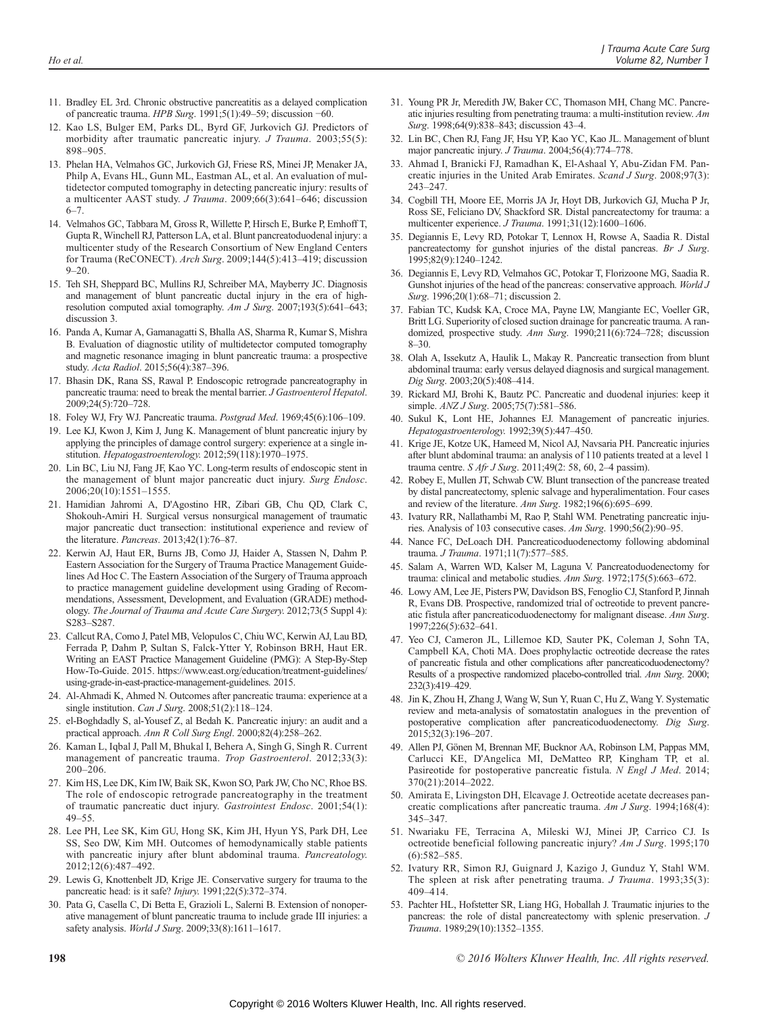- 11. Bradley EL 3rd. Chronic obstructive pancreatitis as a delayed complication of pancreatic trauma. HPB Surg. 1991;5(1):49–59; discussion −60.
- 12. Kao LS, Bulger EM, Parks DL, Byrd GF, Jurkovich GJ. Predictors of morbidity after traumatic pancreatic injury. J Trauma. 2003;55(5): 898–905.
- 13. Phelan HA, Velmahos GC, Jurkovich GJ, Friese RS, Minei JP, Menaker JA, Philp A, Evans HL, Gunn ML, Eastman AL, et al. An evaluation of multidetector computed tomography in detecting pancreatic injury: results of a multicenter AAST study. J Trauma. 2009;66(3):641–646; discussion  $6 - 7$ .
- 14. Velmahos GC, Tabbara M, Gross R, Willette P, Hirsch E, Burke P, Emhoff T, Gupta R, Winchell RJ, Patterson LA, et al. Blunt pancreatoduodenal injury: a multicenter study of the Research Consortium of New England Centers for Trauma (ReCONECT). Arch Surg. 2009;144(5):413–419; discussion  $9 - 20.$
- 15. Teh SH, Sheppard BC, Mullins RJ, Schreiber MA, Mayberry JC. Diagnosis and management of blunt pancreatic ductal injury in the era of highresolution computed axial tomography. Am J Surg. 2007;193(5):641–643; discussion 3.
- 16. Panda A, Kumar A, Gamanagatti S, Bhalla AS, Sharma R, Kumar S, Mishra B. Evaluation of diagnostic utility of multidetector computed tomography and magnetic resonance imaging in blunt pancreatic trauma: a prospective study. Acta Radiol. 2015;56(4):387–396.
- 17. Bhasin DK, Rana SS, Rawal P. Endoscopic retrograde pancreatography in pancreatic trauma: need to break the mental barrier. J Gastroenterol Hepatol. 2009;24(5):720–728.
- 18. Foley WJ, Fry WJ. Pancreatic trauma. Postgrad Med. 1969;45(6):106–109.
- 19. Lee KJ, Kwon J, Kim J, Jung K. Management of blunt pancreatic injury by applying the principles of damage control surgery: experience at a single institution. Hepatogastroenterology. 2012;59(118):1970–1975.
- 20. Lin BC, Liu NJ, Fang JF, Kao YC. Long-term results of endoscopic stent in the management of blunt major pancreatic duct injury. Surg Endosc. 2006;20(10):1551–1555.
- 21. Hamidian Jahromi A, D'Agostino HR, Zibari GB, Chu QD, Clark C, Shokouh-Amiri H. Surgical versus nonsurgical management of traumatic major pancreatic duct transection: institutional experience and review of the literature. Pancreas. 2013;42(1):76–87.
- 22. Kerwin AJ, Haut ER, Burns JB, Como JJ, Haider A, Stassen N, Dahm P. Eastern Association for the Surgery of Trauma Practice Management Guidelines Ad Hoc C. The Eastern Association of the Surgery of Trauma approach to practice management guideline development using Grading of Recommendations, Assessment, Development, and Evaluation (GRADE) methodology. The Journal of Trauma and Acute Care Surgery. 2012;73(5 Suppl 4): S283–S287.
- 23. Callcut RA, Como J, Patel MB, Velopulos C, Chiu WC, Kerwin AJ, Lau BD, Ferrada P, Dahm P, Sultan S, Falck-Ytter Y, Robinson BRH, Haut ER. Writing an EAST Practice Management Guideline (PMG): A Step-By-Step How-To-Guide. 2015. [https://www.east.org/education/treatment-guidelines/](https://www.east.org/education/treatment-guidelines/using-grade-in-east-practice-management-guidelines) [using-grade-in-east-practice-management-guidelines](https://www.east.org/education/treatment-guidelines/using-grade-in-east-practice-management-guidelines). 2015.
- 24. Al-Ahmadi K, Ahmed N. Outcomes after pancreatic trauma: experience at a single institution. *Can J Surg.* 2008;51(2):118-124.
- 25. el-Boghdadly S, al-Yousef Z, al Bedah K. Pancreatic injury: an audit and a practical approach. Ann R Coll Surg Engl. 2000;82(4):258–262.
- 26. Kaman L, Iqbal J, Pall M, Bhukal I, Behera A, Singh G, Singh R. Current management of pancreatic trauma. Trop Gastroenterol. 2012;33(3): 200–206.
- 27. Kim HS, Lee DK, Kim IW, Baik SK, Kwon SO, Park JW, Cho NC, Rhoe BS. The role of endoscopic retrograde pancreatography in the treatment of traumatic pancreatic duct injury. Gastrointest Endosc. 2001;54(1): 49–55.
- 28. Lee PH, Lee SK, Kim GU, Hong SK, Kim JH, Hyun YS, Park DH, Lee SS, Seo DW, Kim MH. Outcomes of hemodynamically stable patients with pancreatic injury after blunt abdominal trauma. Pancreatology. 2012;12(6):487–492.
- 29. Lewis G, Knottenbelt JD, Krige JE. Conservative surgery for trauma to the pancreatic head: is it safe? Injury. 1991;22(5):372–374.
- 30. Pata G, Casella C, Di Betta E, Grazioli L, Salerni B. Extension of nonoperative management of blunt pancreatic trauma to include grade III injuries: a safety analysis. World J Surg. 2009;33(8):1611-1617.
- 31. Young PR Jr, Meredith JW, Baker CC, Thomason MH, Chang MC. Pancreatic injuries resulting from penetrating trauma: a multi-institution review. Am Surg. 1998;64(9):838–843; discussion 43–4.
- 32. Lin BC, Chen RJ, Fang JF, Hsu YP, Kao YC, Kao JL. Management of blunt major pancreatic injury. J Trauma. 2004;56(4):774–778.
- 33. Ahmad I, Branicki FJ, Ramadhan K, El-Ashaal Y, Abu-Zidan FM. Pancreatic injuries in the United Arab Emirates. Scand J Surg. 2008;97(3): 243–247.
- 34. Cogbill TH, Moore EE, Morris JA Jr, Hoyt DB, Jurkovich GJ, Mucha P Jr, Ross SE, Feliciano DV, Shackford SR. Distal pancreatectomy for trauma: a multicenter experience. J Trauma. 1991;31(12):1600–1606.
- 35. Degiannis E, Levy RD, Potokar T, Lennox H, Rowse A, Saadia R. Distal pancreatectomy for gunshot injuries of the distal pancreas. Br J Surg. 1995;82(9):1240–1242.
- 36. Degiannis E, Levy RD, Velmahos GC, Potokar T, Florizoone MG, Saadia R. Gunshot injuries of the head of the pancreas: conservative approach. World J Surg. 1996;20(1):68–71; discussion 2.
- 37. Fabian TC, Kudsk KA, Croce MA, Payne LW, Mangiante EC, Voeller GR, Britt LG. Superiority of closed suction drainage for pancreatic trauma. A randomized, prospective study. Ann Surg. 1990;211(6):724–728; discussion 8–30.
- 38. Olah A, Issekutz A, Haulik L, Makay R. Pancreatic transection from blunt abdominal trauma: early versus delayed diagnosis and surgical management. Dig Surg. 2003;20(5):408–414.
- 39. Rickard MJ, Brohi K, Bautz PC. Pancreatic and duodenal injuries: keep it simple. ANZ J Surg. 2005;75(7):581-586.
- 40. Sukul K, Lont HE, Johannes EJ. Management of pancreatic injuries. Hepatogastroenterology. 1992;39(5):447–450.
- 41. Krige JE, Kotze UK, Hameed M, Nicol AJ, Navsaria PH. Pancreatic injuries after blunt abdominal trauma: an analysis of 110 patients treated at a level 1 trauma centre. S Afr J Surg. 2011;49(2: 58, 60, 2–4 passim).
- 42. Robey E, Mullen JT, Schwab CW. Blunt transection of the pancrease treated by distal pancreatectomy, splenic salvage and hyperalimentation. Four cases and review of the literature. Ann Surg. 1982;196(6):695–699.
- 43. Ivatury RR, Nallathambi M, Rao P, Stahl WM. Penetrating pancreatic injuries. Analysis of 103 consecutive cases. Am Surg. 1990;56(2):90–95.
- 44. Nance FC, DeLoach DH. Pancreaticoduodenectomy following abdominal trauma. J Trauma. 1971;11(7):577–585.
- 45. Salam A, Warren WD, Kalser M, Laguna V. Pancreatoduodenectomy for trauma: clinical and metabolic studies. Ann Surg. 1972;175(5):663–672.
- 46. Lowy AM, Lee JE, Pisters PW, Davidson BS, Fenoglio CJ, Stanford P, Jinnah R, Evans DB. Prospective, randomized trial of octreotide to prevent pancreatic fistula after pancreaticoduodenectomy for malignant disease. Ann Surg. 1997;226(5):632–641.
- 47. Yeo CJ, Cameron JL, Lillemoe KD, Sauter PK, Coleman J, Sohn TA, Campbell KA, Choti MA. Does prophylactic octreotide decrease the rates of pancreatic fistula and other complications after pancreaticoduodenectomy? Results of a prospective randomized placebo-controlled trial. Ann Surg. 2000; 232(3):419–429.
- 48. Jin K, Zhou H, Zhang J, Wang W, Sun Y, Ruan C, Hu Z, Wang Y. Systematic review and meta-analysis of somatostatin analogues in the prevention of postoperative complication after pancreaticoduodenectomy. Dig Surg. 2015;32(3):196–207.
- 49. Allen PJ, Gönen M, Brennan MF, Bucknor AA, Robinson LM, Pappas MM, Carlucci KE, D'Angelica MI, DeMatteo RP, Kingham TP, et al. Pasireotide for postoperative pancreatic fistula. N Engl J Med. 2014; 370(21):2014–2022.
- 50. Amirata E, Livingston DH, Elcavage J. Octreotide acetate decreases pancreatic complications after pancreatic trauma. Am J Surg. 1994;168(4): 345–347.
- 51. Nwariaku FE, Terracina A, Mileski WJ, Minei JP, Carrico CJ. Is octreotide beneficial following pancreatic injury? Am J Surg. 1995;170 (6):582–585.
- 52. Ivatury RR, Simon RJ, Guignard J, Kazigo J, Gunduz Y, Stahl WM. The spleen at risk after penetrating trauma. J Trauma. 1993;35(3): 409–414.
- 53. Pachter HL, Hofstetter SR, Liang HG, Hoballah J. Traumatic injuries to the pancreas: the role of distal pancreatectomy with splenic preservation. J Trauma. 1989;29(10):1352–1355.